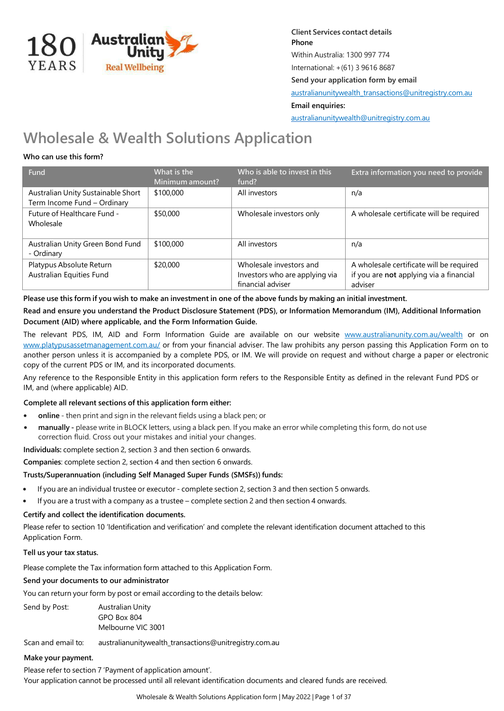

**Client Services contact details Phone** Within Australia: 1300 997 774 International: +(61) 3 9616 8687 **Send your application form by email**  [australianunitywealth\\_transactions@unitregistry.com.au](mailto:australianunitywealth_transactions@unitregistry.com.au) **Email enquiries:**  [australianunitywealth@unitregistry.com.au](mailto:australianunitywealth@unitregistry.com.au)

# **Wholesale & Wealth Solutions Application**

# **Who can use this form?**

| Fund                                                              | What is the<br>Minimum amount? | Who is able to invest in this<br>fund?                                         | Extra information you need to provide                                                          |
|-------------------------------------------------------------------|--------------------------------|--------------------------------------------------------------------------------|------------------------------------------------------------------------------------------------|
| Australian Unity Sustainable Short<br>Term Income Fund - Ordinary | \$100,000                      | All investors                                                                  | n/a                                                                                            |
| Future of Healthcare Fund -<br>Wholesale                          | \$50,000                       | Wholesale investors only                                                       | A wholesale certificate will be required                                                       |
| Australian Unity Green Bond Fund<br>- Ordinary                    | \$100,000                      | All investors                                                                  | n/a                                                                                            |
| Platypus Absolute Return<br>Australian Equities Fund              | \$20,000                       | Wholesale investors and<br>Investors who are applying via<br>financial adviser | A wholesale certificate will be required<br>if you are not applying via a financial<br>adviser |

Please use this form if you wish to make an investment in one of the above funds by making an initial investment.

**Read and ensure you understand the Product Disclosure Statement (PDS), or Information Memorandum (IM), Additional Information Document (AID) where applicable, and the Form Information Guide.**

The relevant PDS, IM, AID and Form Information Guide are available on our website www.australianunity.com.au/wealth or on www.platypusassetmanagement.com.au/ or from your financial adviser. The law prohibits any person passing this Application Form on to another person unless it is accompanied by a complete PDS, or IM. We will provide on request and without charge a paper or electronic copy of the current PDS or IM, and its incorporated documents.

Any reference to the Responsible Entity in this application form refers to the Responsible Entity as defined in the relevant Fund PDS or IM, and (where applicable) AID.

# **Complete all relevant sections of this application form either:**

- **• online** then print and sign in the relevant fields using a black pen; or
- **• manually -** please write in BLOCK letters, using a black pen. If you make an error while completing this form, do not use correction fluid. Cross out your mistakes and initial your changes.

**Individuals:** complete section 2, section 3 and then section 6 onwards.

# **Companies**: complete section 2, section 4 and then section 6 onwards.

# **Trusts/Superannuation (including Self Managed Super Funds (SMSFs)) funds:**

- **•** If you are an individual trustee or executor complete section 2, section 3 and then section 5 onwards.
- **•** If you are a trust with a company as a trustee complete section 2 and then section 4 onwards.

# **Certify and collect the identification documents.**

Please refer to section 10 'Identification and verification' and complete the relevant identification document attached to this Application Form.

# **Tell us your tax status.**

Please complete the Tax information form attached to this Application Form.

# **Send your documents to our administrator**

You can return your form by post or email according to the details below:

Send by Post: Australian Unity GPO Box 804 Melbourne VIC 3001

Scan and email to: australianunitywealth\_transactions@unitregistry.com.au

# **Make your payment.**

Please refer to section 7 'Payment of application amount'. Your application cannot be processed until all relevant identification documents and cleared funds are received.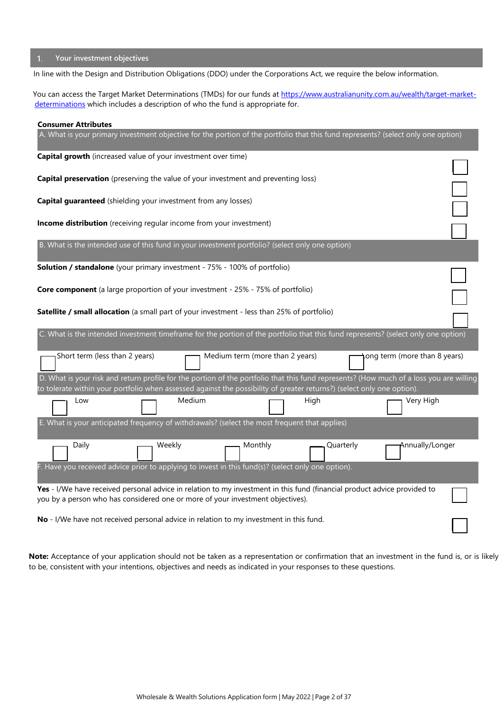# **Your investment objectives**

In line with the Design and Distribution Obligations (DDO) under the Corporations Act, we require the below information.

You can access the Target Market Determinations (TMDs) for our funds at https://www.australianunity.com.au/wealth/target-marketdeterminations which includes a description of who the fund is appropriate for.

| <b>Consumer Attributes</b>                                                                                                                                                                                                                                        |        |                                 |           |                              |  |
|-------------------------------------------------------------------------------------------------------------------------------------------------------------------------------------------------------------------------------------------------------------------|--------|---------------------------------|-----------|------------------------------|--|
| A. What is your primary investment objective for the portion of the portfolio that this fund represents? (select only one option)                                                                                                                                 |        |                                 |           |                              |  |
| Capital growth (increased value of your investment over time)                                                                                                                                                                                                     |        |                                 |           |                              |  |
| <b>Capital preservation</b> (preserving the value of your investment and preventing loss)                                                                                                                                                                         |        |                                 |           |                              |  |
| <b>Capital guaranteed</b> (shielding your investment from any losses)                                                                                                                                                                                             |        |                                 |           |                              |  |
| Income distribution (receiving regular income from your investment)                                                                                                                                                                                               |        |                                 |           |                              |  |
|                                                                                                                                                                                                                                                                   |        |                                 |           |                              |  |
| B. What is the intended use of this fund in your investment portfolio? (select only one option)                                                                                                                                                                   |        |                                 |           |                              |  |
| <b>Solution / standalone</b> (your primary investment - 75% - 100% of portfolio)                                                                                                                                                                                  |        |                                 |           |                              |  |
| <b>Core component</b> (a large proportion of your investment - 25% - 75% of portfolio)                                                                                                                                                                            |        |                                 |           |                              |  |
| Satellite / small allocation (a small part of your investment - less than 25% of portfolio)                                                                                                                                                                       |        |                                 |           |                              |  |
|                                                                                                                                                                                                                                                                   |        |                                 |           |                              |  |
| C. What is the intended investment timeframe for the portion of the portfolio that this fund represents? (select only one option)                                                                                                                                 |        |                                 |           |                              |  |
| Short term (less than 2 years)                                                                                                                                                                                                                                    |        | Medium term (more than 2 years) |           | ong term (more than 8 years) |  |
| D. What is your risk and return profile for the portion of the portfolio that this fund represents? (How much of a loss you are willing<br>to tolerate within your portfolio when assessed against the possibility of greater returns?) (select only one option). |        |                                 |           |                              |  |
| Low                                                                                                                                                                                                                                                               | Medium |                                 | High      | Very High                    |  |
| E. What is your anticipated frequency of withdrawals? (select the most frequent that applies)                                                                                                                                                                     |        |                                 |           |                              |  |
| Daily                                                                                                                                                                                                                                                             | Weekly | Monthly                         | Quarterly | Annually/Longer              |  |
| Have you received advice prior to applying to invest in this fund(s)? (select only one option).                                                                                                                                                                   |        |                                 |           |                              |  |
| Yes - I/We have received personal advice in relation to my investment in this fund (financial product advice provided to<br>you by a person who has considered one or more of your investment objectives).                                                        |        |                                 |           |                              |  |
| No - I/We have not received personal advice in relation to my investment in this fund.                                                                                                                                                                            |        |                                 |           |                              |  |

**Note:** Acceptance of your application should not be taken as a representation or confirmation that an investment in the fund is, or is likely to be, consistent with your intentions, objectives and needs as indicated in your responses to these questions.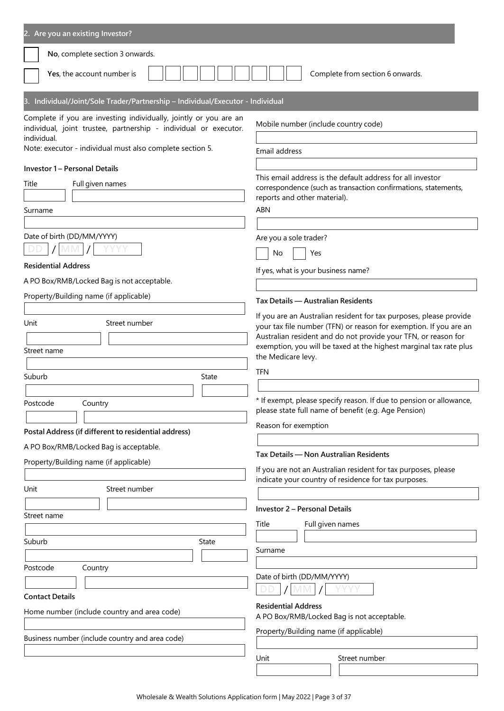| 2. Are you an existing Investor?                                                                                                                                                                                  |                                                                                                                                                                                                                                                                                                       |
|-------------------------------------------------------------------------------------------------------------------------------------------------------------------------------------------------------------------|-------------------------------------------------------------------------------------------------------------------------------------------------------------------------------------------------------------------------------------------------------------------------------------------------------|
| No, complete section 3 onwards.                                                                                                                                                                                   |                                                                                                                                                                                                                                                                                                       |
| Yes, the account number is                                                                                                                                                                                        | Complete from section 6 onwards.                                                                                                                                                                                                                                                                      |
| 3. Individual/Joint/Sole Trader/Partnership - Individual/Executor - Individual                                                                                                                                    |                                                                                                                                                                                                                                                                                                       |
| Complete if you are investing individually, jointly or you are an<br>individual, joint trustee, partnership - individual or executor.<br>individual.<br>Note: executor - individual must also complete section 5. | Mobile number (include country code)<br>Email address                                                                                                                                                                                                                                                 |
| <b>Investor 1 - Personal Details</b><br>Full given names<br>Title<br>Surname                                                                                                                                      | This email address is the default address for all investor<br>correspondence (such as transaction confirmations, statements,<br>reports and other material).<br><b>ABN</b>                                                                                                                            |
| Date of birth (DD/MM/YYYY)                                                                                                                                                                                        | Are you a sole trader?                                                                                                                                                                                                                                                                                |
| <b>Residential Address</b><br>A PO Box/RMB/Locked Bag is not acceptable.                                                                                                                                          | No<br>Yes<br>If yes, what is your business name?                                                                                                                                                                                                                                                      |
| Property/Building name (if applicable)                                                                                                                                                                            | Tax Details - Australian Residents                                                                                                                                                                                                                                                                    |
| Unit<br>Street number<br>Street name                                                                                                                                                                              | If you are an Australian resident for tax purposes, please provide<br>your tax file number (TFN) or reason for exemption. If you are an<br>Australian resident and do not provide your TFN, or reason for<br>exemption, you will be taxed at the highest marginal tax rate plus<br>the Medicare levy. |
| Suburb<br>State                                                                                                                                                                                                   | <b>TFN</b>                                                                                                                                                                                                                                                                                            |
| Country<br>Postcode<br>Postal Address (if different to residential address)                                                                                                                                       | * If exempt, please specify reason. If due to pension or allowance<br>please state full name of benefit (e.g. Age Pension)<br>Reason for exemption                                                                                                                                                    |
| A PO Box/RMB/Locked Bag is acceptable.                                                                                                                                                                            | Tax Details - Non Australian Residents                                                                                                                                                                                                                                                                |
| Property/Building name (if applicable)<br>Unit<br>Street number                                                                                                                                                   | If you are not an Australian resident for tax purposes, please<br>indicate your country of residence for tax purposes.                                                                                                                                                                                |
| Street name                                                                                                                                                                                                       | <b>Investor 2 - Personal Details</b><br>Title<br>Full given names                                                                                                                                                                                                                                     |
| Suburb<br>State                                                                                                                                                                                                   | Surname                                                                                                                                                                                                                                                                                               |
| Postcode<br>Country<br><b>Contact Details</b><br>Home number (include country and area code)                                                                                                                      | Date of birth (DD/MM/YYYY)<br><b>Residential Address</b>                                                                                                                                                                                                                                              |
| Business number (include country and area code)                                                                                                                                                                   | A PO Box/RMB/Locked Bag is not acceptable.<br>Property/Building name (if applicable)                                                                                                                                                                                                                  |
|                                                                                                                                                                                                                   | Unit<br>Street number                                                                                                                                                                                                                                                                                 |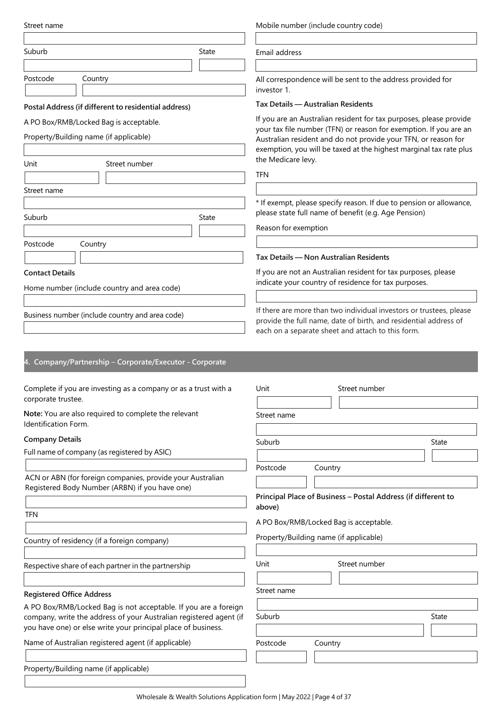| Street name                                                                  | Mobile number (include country code)                                                                                                |  |  |
|------------------------------------------------------------------------------|-------------------------------------------------------------------------------------------------------------------------------------|--|--|
| Suburb<br>State                                                              | Email address                                                                                                                       |  |  |
|                                                                              |                                                                                                                                     |  |  |
| Postcode<br>Country                                                          | All correspondence will be sent to the address provided for<br>investor 1.                                                          |  |  |
| Postal Address (if different to residential address)                         | Tax Details — Australian Residents                                                                                                  |  |  |
| A PO Box/RMB/Locked Bag is acceptable.                                       | If you are an Australian resident for tax purposes, please provide                                                                  |  |  |
| Property/Building name (if applicable)                                       | your tax file number (TFN) or reason for exemption. If you are an<br>Australian resident and do not provide your TFN, or reason for |  |  |
|                                                                              | exemption, you will be taxed at the highest marginal tax rate plus                                                                  |  |  |
| Unit<br>Street number                                                        | the Medicare levy.                                                                                                                  |  |  |
|                                                                              | <b>TFN</b>                                                                                                                          |  |  |
| Street name                                                                  |                                                                                                                                     |  |  |
|                                                                              | * If exempt, please specify reason. If due to pension or allowance,                                                                 |  |  |
| Suburb<br>State                                                              | please state full name of benefit (e.g. Age Pension)                                                                                |  |  |
|                                                                              | Reason for exemption                                                                                                                |  |  |
| Postcode<br>Country                                                          |                                                                                                                                     |  |  |
|                                                                              | Tax Details - Non Australian Residents                                                                                              |  |  |
| <b>Contact Details</b>                                                       | If you are not an Australian resident for tax purposes, please<br>indicate your country of residence for tax purposes.              |  |  |
| Home number (include country and area code)                                  |                                                                                                                                     |  |  |
|                                                                              | If there are more than two individual investors or trustees, please                                                                 |  |  |
| Business number (include country and area code)                              | provide the full name, date of birth, and residential address of                                                                    |  |  |
|                                                                              | each on a separate sheet and attach to this form.                                                                                   |  |  |
|                                                                              |                                                                                                                                     |  |  |
| 4. Company/Partnership - Corporate/Executor - Corporate                      |                                                                                                                                     |  |  |
|                                                                              |                                                                                                                                     |  |  |
| Complete if you are investing as a company or as a trust with a              | Unit<br>Street number                                                                                                               |  |  |
| corporate trustee.                                                           |                                                                                                                                     |  |  |
| Note: You are also required to complete the relevant<br>Identification Form. | Street name                                                                                                                         |  |  |
| <b>Company Details</b>                                                       |                                                                                                                                     |  |  |
| Full name of company (as registered by ASIC)                                 | Suburb<br>State                                                                                                                     |  |  |
|                                                                              | Postcode<br>Country                                                                                                                 |  |  |
| ACN or ABN (for foreign companies, provide your Australian                   |                                                                                                                                     |  |  |
| Registered Body Number (ARBN) if you have one)                               | Principal Place of Business - Postal Address (if different to                                                                       |  |  |
|                                                                              | above)                                                                                                                              |  |  |
| <b>TFN</b>                                                                   | A PO Box/RMB/Locked Bag is acceptable.                                                                                              |  |  |
| Country of residency (if a foreign company)                                  | Property/Building name (if applicable)                                                                                              |  |  |
|                                                                              |                                                                                                                                     |  |  |
| Respective share of each partner in the partnership                          | Unit<br>Street number                                                                                                               |  |  |
|                                                                              |                                                                                                                                     |  |  |
| <b>Registered Office Address</b>                                             | Street name                                                                                                                         |  |  |
| A PO Box/RMB/Locked Bag is not acceptable. If you are a foreign              |                                                                                                                                     |  |  |
| company, write the address of your Australian registered agent (if           | Suburb<br>State                                                                                                                     |  |  |
| you have one) or else write your principal place of business.                |                                                                                                                                     |  |  |
| Name of Australian registered agent (if applicable)                          | Postcode<br>Country                                                                                                                 |  |  |
|                                                                              |                                                                                                                                     |  |  |
| Property/Building name (if applicable)                                       |                                                                                                                                     |  |  |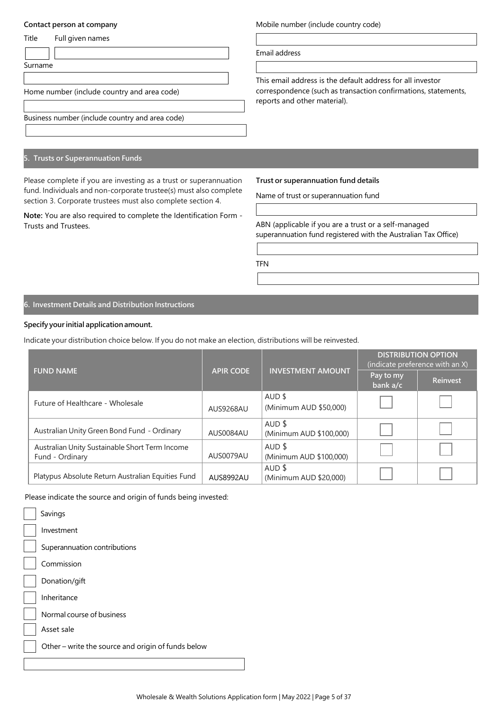### **Contact person at company**

| Title | Full given names |
|-------|------------------|
|       |                  |

Surname

Home number (include country and area code)

Business number (include country and area code)

# **5. Trusts or Superannuation Funds**

Please complete if you are investing as a trust or superannuation fund. Individuals and non-corporate trustee(s) must also complete section 3. Corporate trustees must also complete section 4.

**Note:** You are also required to complete the Identification Form - Trusts and Trustees.

Mobile number (include country code)

Email address

This email address is the default address for all investor correspondence (such as transaction confirmations, statements, reports and other material).

**Trust or superannuation fund details**

Name of trust or superannuation fund

ABN (applicable if you are a trust or a self-managed superannuation fund registered with the Australian Tax Office)

TFN

**6. Investment Details and Distribution Instructions**

# **Specify yourinitial applicationamount.**

Indicate your distribution choice below. If you do not make an election, distributions will be reinvested.

|                                                                   |                  |                                     | <b>DISTRIBUTION OPTION</b><br>(indicate preference with an X) |                 |
|-------------------------------------------------------------------|------------------|-------------------------------------|---------------------------------------------------------------|-----------------|
| <b>FUND NAME</b>                                                  | <b>APIR CODE</b> | <b>INVESTMENT AMOUNT</b>            | Pay to my<br>bank a/c                                         | <b>Reinvest</b> |
| Future of Healthcare - Wholesale                                  | AUS9268AU        | AUD \$<br>(Minimum AUD \$50,000)    |                                                               |                 |
| Australian Unity Green Bond Fund - Ordinary                       | AUS0084AU        | AUD \$<br>(Minimum AUD \$100,000)   |                                                               |                 |
| Australian Unity Sustainable Short Term Income<br>Fund - Ordinary | AUS0079AU        | $AUD$ \$<br>(Minimum AUD \$100,000) |                                                               |                 |
| Platypus Absolute Return Australian Equities Fund                 | AUS8992AU        | AUD \$<br>(Minimum AUD \$20,000)    |                                                               |                 |

Please indicate the source and origin of funds being invested:

| Savings                                            |
|----------------------------------------------------|
| Investment                                         |
| Superannuation contributions                       |
| Commission                                         |
| Donation/gift                                      |
| Inheritance                                        |
| Normal course of business                          |
| Asset sale                                         |
| Other – write the source and origin of funds below |
|                                                    |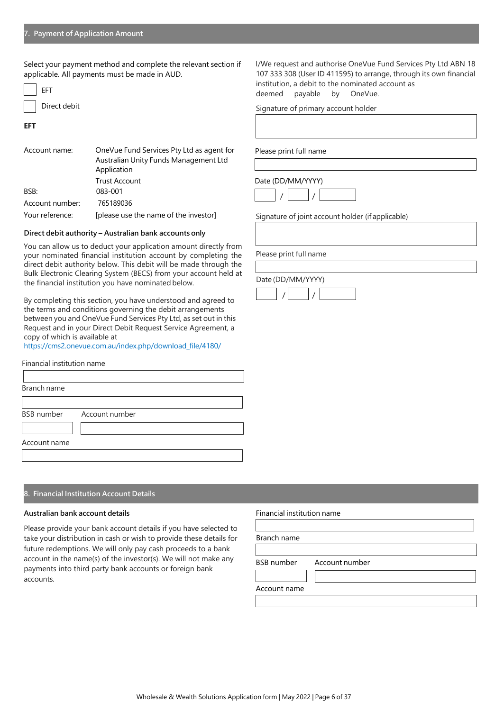Select your payment method and complete the relevant section if applicable. All payments must be made in AUD.

| FFT          |
|--------------|
| Direct debit |

**EFT**

| Account name:   | OneVue Fund Services Pty Ltd as agent for<br>Australian Unity Funds Management Ltd<br>Application |  |
|-----------------|---------------------------------------------------------------------------------------------------|--|
|                 | <b>Trust Account</b>                                                                              |  |
| BSB:            | 083-001                                                                                           |  |
| Account number: | 765189036                                                                                         |  |
| Your reference: | [please use the name of the investor]                                                             |  |

### **Direct debit authority – Australian bank accounts only**

You can allow us to deduct your application amount directly from your nominated financial institution account by completing the direct debit authority below. This debit will be made through the Bulk Electronic Clearing System (BECS) from your account held at the financial institution you have nominated below.

By completing this section, you have understood and agreed to the terms and conditions governing the debit arrangements between you and OneVue Fund Services Pty Ltd, as set out in this Request and in your Direct Debit Request Service Agreement, a copy of which is available at

https://cms2.onevue.com.au/index.php/download\_file/4180/

| Financial institution name |                           |  |
|----------------------------|---------------------------|--|
|                            |                           |  |
| Branch name                |                           |  |
|                            |                           |  |
|                            | BSB number Account number |  |
|                            |                           |  |
| Account name               |                           |  |
|                            |                           |  |

# **8. Financial Institution Account Details**

#### **Australian bank account details**

Please provide your bank account details if you have selected to take your distribution in cash or wish to provide these details for future redemptions. We will only pay cash proceeds to a bank account in the name(s) of the investor(s). We will not make any payments into third party bank accounts or foreign bank accounts.

Financial institution name

Branch name

BSB number Account number

Account name

I/We request and authorise OneVue Fund Services Pty Ltd ABN 18 107 333 308 (User ID 411595) to arrange, through its own financial institution, a debit to the nominated account as deemed payable by OneVue.

Signature of primary account holder

Please print full name

Date (DD/MM/YYYY)



Signature of joint account holder (if applicable)

Please print full name

Date (DD/MM/YYYY) / /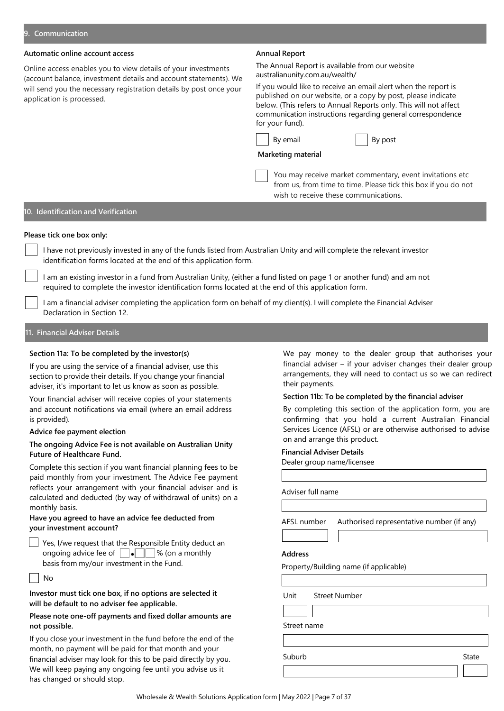# **Automatic online account access**

Online access enables you to view details of your investments (account balance, investment details and account statements). We will send you the necessary registration details by post once your application is processed.

#### **Annual Report**

The Annual Report is available from our website australianunity.com.au/wealth/

If you would like to receive an email alert when the report is published on our website, or a copy by post, please indicate below. (This refers to Annual Reports only. This will not affect communication instructions regarding general correspondence for your fund).

| email<br>Вv |  |
|-------------|--|
|-------------|--|



### **Marketing material**

You may receive market commentary, event invitations etc from us, from time to time. Please tick this box if you do not wish to receive these communications.

# **10. Identification and Verification**

# **Please tick one box only:**

I have not previously invested in any of the funds listed from Australian Unity and will complete the relevant investor identification forms located at the end of this application form.

I am an existing investor in a fund from Australian Unity, (either a fund listed on page 1 or another fund) and am not required to complete the investor identification forms located at the end of this application form.

I am a financial adviser completing the application form on behalf of my client(s). I will complete the Financial Adviser Declaration in Section 12.

**11. Financial Adviser Details**

#### **Section 11a: To be completed by the investor(s)**

If you are using the service of a financial adviser, use this section to provide their details. If you change your financial adviser, it's important to let us know as soon as possible.

Your financial adviser will receive copies of your statements and account notifications via email (where an email address is provided).

#### **Advice fee payment election**

# **The ongoing Advice Fee is not available on Australian Unity Future of Healthcare Fund.**

Complete this section if you want financial planning fees to be paid monthly from your investment. The Advice Fee payment reflects your arrangement with your financial adviser and is calculated and deducted (by way of withdrawal of units) on a monthly basis.

# **Have you agreed to have an advice fee deducted from your investment account?**

Yes, I/we request that the Responsible Entity deduct an ongoing advice fee of  $\Box \bullet \Box \quad \%$  (on a monthly basis from my/our investment in the Fund.

|  | M.<br>۰. |
|--|----------|
|--|----------|

**Investor must tick one box, if no options are selected it will be default to no adviser fee applicable.**

# **Please note one-off payments and fixed dollar amounts are not possible.**

If you close your investment in the fund before the end of the month, no payment will be paid for that month and your financial adviser may look for this to be paid directly by you. We will keep paying any ongoing fee until you advise us it has changed or should stop.

We pay money to the dealer group that authorises your financial adviser – if your adviser changes their dealer group arrangements, they will need to contact us so we can redirect their payments.

### **Section 11b: To be completed by the financial adviser**

By completing this section of the application form, you are confirming that you hold a current Australian Financial Services Licence (AFSL) or are otherwise authorised to advise on and arrange this product.

#### **Financial Adviser Details**

Dealer group name/licensee

|                | AFSL number Authorised representative number (if any) |
|----------------|-------------------------------------------------------|
|                |                                                       |
| <b>Address</b> |                                                       |
|                |                                                       |
|                | Property/Building name (if applicable)                |
|                |                                                       |
| Unit           | Street Number                                         |
|                |                                                       |

Suburb **Suburb** State Suburb State State State State State State State State State State State State State State State State State State State State State State State State State State State State State State State State S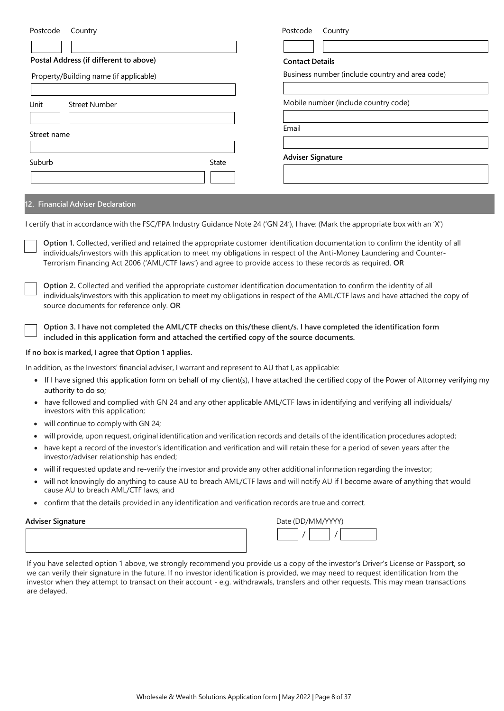| Postcode<br>Country                                                                                                                                                                                                                                                                                                                                                      | Postcode<br>Country                             |
|--------------------------------------------------------------------------------------------------------------------------------------------------------------------------------------------------------------------------------------------------------------------------------------------------------------------------------------------------------------------------|-------------------------------------------------|
|                                                                                                                                                                                                                                                                                                                                                                          |                                                 |
| Postal Address (if different to above)                                                                                                                                                                                                                                                                                                                                   | <b>Contact Details</b>                          |
| Property/Building name (if applicable)                                                                                                                                                                                                                                                                                                                                   | Business number (include country and area code) |
| Unit<br><b>Street Number</b>                                                                                                                                                                                                                                                                                                                                             | Mobile number (include country code)            |
| Street name                                                                                                                                                                                                                                                                                                                                                              | Email                                           |
| Suburb<br><b>State</b>                                                                                                                                                                                                                                                                                                                                                   | <b>Adviser Signature</b>                        |
|                                                                                                                                                                                                                                                                                                                                                                          |                                                 |
| <b>12. Financial Adviser Declaration</b>                                                                                                                                                                                                                                                                                                                                 |                                                 |
| I certify that in accordance with the FSC/FPA Industry Guidance Note 24 ('GN 24'), I have: (Mark the appropriate box with an 'X')                                                                                                                                                                                                                                        |                                                 |
| Option 1. Collected, verified and retained the appropriate customer identification documentation to confirm the identity of all<br>individuals/investors with this application to meet my obligations in respect of the Anti-Money Laundering and Counter-<br>Terrorism Financing Act 2006 ('AML/CTF laws') and agree to provide access to these records as required. OR |                                                 |
| Option 2. Collected and verified the appropriate customer identification documentation to confirm the identity of all<br>individuals/investors with this application to meet my obligations in respect of the AML/CTF laws and have attached the copy of<br>source documents for reference only. OR                                                                      |                                                 |
| Option 3. I have not completed the AML/CTF checks on this/these client/s. I have completed the identification form<br>included in this application form and attached the certified copy of the source documents.                                                                                                                                                         |                                                 |
| If no hovie marked Logres that Ontion 1 annies                                                                                                                                                                                                                                                                                                                           |                                                 |

# **If no box is marked, I agree that Option 1 applies.**

In addition, as the Investors' financial adviser, I warrant and represent to AU that I, as applicable:

- If I have signed this application form on behalf of my client(s), I have attached the certified copy of the Power of Attorney verifying my authority to do so;
- have followed and complied with GN 24 and any other applicable AML/CTF laws in identifying and verifying all individuals/ investors with this application;
- will continue to comply with GN 24;
- will provide, upon request, original identification and verification records and details of the identification procedures adopted;
- have kept a record of the investor's identification and verification and will retain these for a period of seven years after the investor/adviser relationship has ended;
- will if requested update and re-verify the investor and provide any other additional information regarding the investor;
- will not knowingly do anything to cause AU to breach AML/CTF laws and will notify AU if I become aware of anything that would cause AU to breach AML/CTF laws; and
- confirm that the details provided in any identification and verification records are true and correct.

# **Adviser Signature**

| Date (DD/MM/YYYY) |  |  |  |
|-------------------|--|--|--|
|                   |  |  |  |

If you have selected option 1 above, we strongly recommend you provide us a copy of the investor's Driver's License or Passport, so we can verify their signature in the future. If no investor identification is provided, we may need to request identification from the investor when they attempt to transact on their account - e.g. withdrawals, transfers and other requests. This may mean transactions are delayed.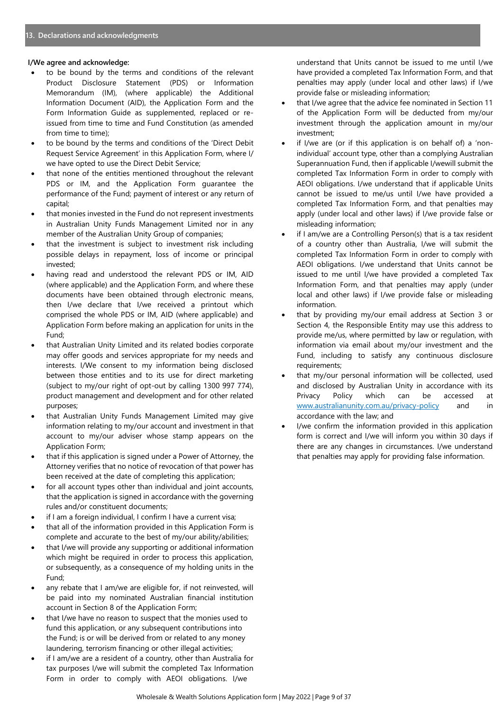# **I/We agree and acknowledge:**

- to be bound by the terms and conditions of the relevant Product Disclosure Statement (PDS) or Information Memorandum (IM), (where applicable) the Additional Information Document (AID), the Application Form and the Form Information Guide as supplemented, replaced or reissued from time to time and Fund Constitution (as amended from time to time);
- to be bound by the terms and conditions of the 'Direct Debit Request Service Agreement' in this Application Form, where I/ we have opted to use the Direct Debit Service;
- that none of the entities mentioned throughout the relevant PDS or IM, and the Application Form guarantee the performance of the Fund; payment of interest or any return of capital;
- that monies invested in the Fund do not represent investments in Australian Unity Funds Management Limited nor in any member of the Australian Unity Group of companies;
- that the investment is subject to investment risk including possible delays in repayment, loss of income or principal invested;
- having read and understood the relevant PDS or IM, AID (where applicable) and the Application Form, and where these documents have been obtained through electronic means, then I/we declare that I/we received a printout which comprised the whole PDS or IM, AID (where applicable) and Application Form before making an application for units in the Fund;
- that Australian Unity Limited and its related bodies corporate may offer goods and services appropriate for my needs and interests. I/We consent to my information being disclosed between those entities and to its use for direct marketing (subject to my/our right of opt-out by calling 1300 997 774), product management and development and for other related purposes;
- that Australian Unity Funds Management Limited may give information relating to my/our account and investment in that account to my/our adviser whose stamp appears on the Application Form;
- that if this application is signed under a Power of Attorney, the Attorney verifies that no notice of revocation of that power has been received at the date of completing this application;
- for all account types other than individual and joint accounts, that the application is signed in accordance with the governing rules and/or constituent documents;
- if I am a foreign individual, I confirm I have a current visa;
- that all of the information provided in this Application Form is complete and accurate to the best of my/our ability/abilities;
- that I/we will provide any supporting or additional information which might be required in order to process this application, or subsequently, as a consequence of my holding units in the Fund;
- any rebate that I am/we are eligible for, if not reinvested, will be paid into my nominated Australian financial institution account in Section 8 of the Application Form;
- that I/we have no reason to suspect that the monies used to fund this application, or any subsequent contributions into the Fund; is or will be derived from or related to any money laundering, terrorism financing or other illegal activities;
- if I am/we are a resident of a country, other than Australia for tax purposes I/we will submit the completed Tax Information Form in order to comply with AEOI obligations. I/we

understand that Units cannot be issued to me until I/we have provided a completed Tax Information Form, and that penalties may apply (under local and other laws) if I/we provide false or misleading information;

- that I/we agree that the advice fee nominated in Section 11 of the Application Form will be deducted from my/our investment through the application amount in my/our investment;
- if I/we are (or if this application is on behalf of) a 'nonindividual' account type, other than a complying Australian Superannuation Fund, then if applicable I/wewill submit the completed Tax Information Form in order to comply with AEOI obligations. I/we understand that if applicable Units cannot be issued to me/us until I/we have provided a completed Tax Information Form, and that penalties may apply (under local and other laws) if I/we provide false or misleading information;
- if I am/we are a Controlling Person(s) that is a tax resident of a country other than Australia, I/we will submit the completed Tax Information Form in order to comply with AEOI obligations. I/we understand that Units cannot be issued to me until I/we have provided a completed Tax Information Form, and that penalties may apply (under local and other laws) if I/we provide false or misleading information.
- that by providing my/our email address at Section 3 or Section 4, the Responsible Entity may use this address to provide me/us, where permitted by law or regulation, with information via email about my/our investment and the Fund, including to satisfy any continuous disclosure requirements;
- that my/our personal information will be collected, used and disclosed by Australian Unity in accordance with its Privacy Policy which can be accessed at www.australianunity.com.au/privacy-policy and in accordance with the law; and
- I/we confirm the information provided in this application form is correct and I/we will inform you within 30 days if there are any changes in circumstances. I/we understand that penalties may apply for providing false information.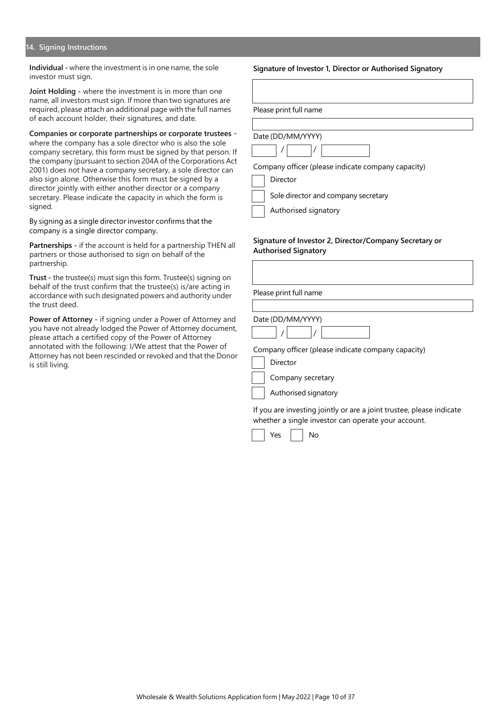#### **14. Signing Instructions**

**Individual -** where the investment is in one name, the sole investor must sign.

**Joint Holding -** where the investment is in more than one name, all investors must sign. If more than two signatures are required, please attach an additional page with the full names of each account holder, their signatures, and date.

**Companies or corporate partnerships or corporate trustees**  where the company has a sole director who is also the sole company secretary, this form must be signed by that person. If the company (pursuant to section 204A of the Corporations Act 2001) does not have a company secretary, a sole director can also sign alone. Otherwise this form must be signed by a director jointly with either another director or a company secretary. Please indicate the capacity in which the form is signed.

By signing as a single director investor confirms that the company is a single director company.

**Partnerships -** if the account is held for a partnership THEN all partners or those authorised to sign on behalf of the partnership.

**Trust -** the trustee(s) must sign this form. Trustee(s) signing on behalf of the trust confirm that the trustee(s) is/are acting in accordance with such designated powers and authority under the trust deed.

**Power of Attorney -** if signing under a Power of Attorney and you have not already lodged the Power of Attorney document, please attach a certified copy of the Power of Attorney annotated with the following: I/We attest that the Power of Attorney has not been rescinded or revoked and that the Donor is still living.

#### **Signature of Investor 1, Director or Authorised Signatory**

Please print full name



Company officer (please indicate company capacity)

Director

Sole director and company secretary

Authorised signatory

#### **Signature of Investor 2, Director/Company Secretary or Authorised Signatory**

Please print full name

# Date (DD/MM/YYYY)



Company officer (please indicate company capacity)





Authorised signatory

If you are investing jointly or are a joint trustee, please indicate whether a single investor can operate your account.



Wholesale & Wealth Solutions Application form | May 2022 | Page 10 of 37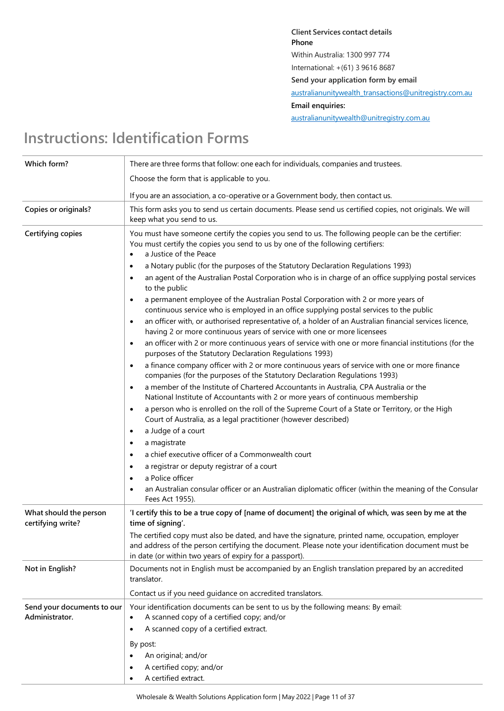**Client Services contact details Phone** Within Australia: 1300 997 774 International: +(61) 3 9616 8687 **Send your application form by email**  [australianunitywealth\\_transactions@unitregistry.com.au](mailto:australianunitywealth_transactions@unitregistry.com.au) **Email enquiries:**  [australianunitywealth@unitregistry.com.au](mailto:australianunitywealth@unitregistry.com.au)

# **Instructions: Identification Forms**

| Which form?                                  | There are three forms that follow: one each for individuals, companies and trustees.                                                                                                                                                                                |
|----------------------------------------------|---------------------------------------------------------------------------------------------------------------------------------------------------------------------------------------------------------------------------------------------------------------------|
|                                              | Choose the form that is applicable to you.                                                                                                                                                                                                                          |
|                                              | If you are an association, a co-operative or a Government body, then contact us.                                                                                                                                                                                    |
| <b>Copies or originals?</b>                  | This form asks you to send us certain documents. Please send us certified copies, not originals. We will<br>keep what you send to us.                                                                                                                               |
| Certifying copies                            | You must have someone certify the copies you send to us. The following people can be the certifier:<br>You must certify the copies you send to us by one of the following certifiers:<br>a Justice of the Peace<br>$\bullet$                                        |
|                                              | a Notary public (for the purposes of the Statutory Declaration Regulations 1993)<br>$\bullet$                                                                                                                                                                       |
|                                              | an agent of the Australian Postal Corporation who is in charge of an office supplying postal services<br>$\bullet$<br>to the public                                                                                                                                 |
|                                              | a permanent employee of the Australian Postal Corporation with 2 or more years of<br>continuous service who is employed in an office supplying postal services to the public                                                                                        |
|                                              | an officer with, or authorised representative of, a holder of an Australian financial services licence,<br>$\bullet$<br>having 2 or more continuous years of service with one or more licensees                                                                     |
|                                              | an officer with 2 or more continuous years of service with one or more financial institutions (for the<br>$\bullet$<br>purposes of the Statutory Declaration Regulations 1993)                                                                                      |
|                                              | a finance company officer with 2 or more continuous years of service with one or more finance<br>companies (for the purposes of the Statutory Declaration Regulations 1993)                                                                                         |
|                                              | a member of the Institute of Chartered Accountants in Australia, CPA Australia or the<br>$\bullet$<br>National Institute of Accountants with 2 or more years of continuous membership                                                                               |
|                                              | a person who is enrolled on the roll of the Supreme Court of a State or Territory, or the High<br>$\bullet$<br>Court of Australia, as a legal practitioner (however described)                                                                                      |
|                                              | a Judge of a court<br>$\bullet$                                                                                                                                                                                                                                     |
|                                              | a magistrate<br>$\bullet$                                                                                                                                                                                                                                           |
|                                              | a chief executive officer of a Commonwealth court<br>$\bullet$                                                                                                                                                                                                      |
|                                              | a registrar or deputy registrar of a court<br>$\bullet$                                                                                                                                                                                                             |
|                                              | a Police officer<br>$\bullet$                                                                                                                                                                                                                                       |
|                                              | an Australian consular officer or an Australian diplomatic officer (within the meaning of the Consular<br>Fees Act 1955).                                                                                                                                           |
| What should the person<br>certifying write?  | 'I certify this to be a true copy of [name of document] the original of which, was seen by me at the<br>time of signing'.                                                                                                                                           |
|                                              | The certified copy must also be dated, and have the signature, printed name, occupation, employer<br>and address of the person certifying the document. Please note your identification document must be<br>in date (or within two years of expiry for a passport). |
| Not in English?                              | Documents not in English must be accompanied by an English translation prepared by an accredited<br>translator.                                                                                                                                                     |
|                                              | Contact us if you need guidance on accredited translators.                                                                                                                                                                                                          |
| Send your documents to our<br>Administrator. | Your identification documents can be sent to us by the following means: By email:<br>A scanned copy of a certified copy; and/or                                                                                                                                     |
|                                              | A scanned copy of a certified extract.                                                                                                                                                                                                                              |
|                                              | By post:                                                                                                                                                                                                                                                            |
|                                              | An original; and/or                                                                                                                                                                                                                                                 |
|                                              | A certified copy; and/or                                                                                                                                                                                                                                            |
|                                              | A certified extract.                                                                                                                                                                                                                                                |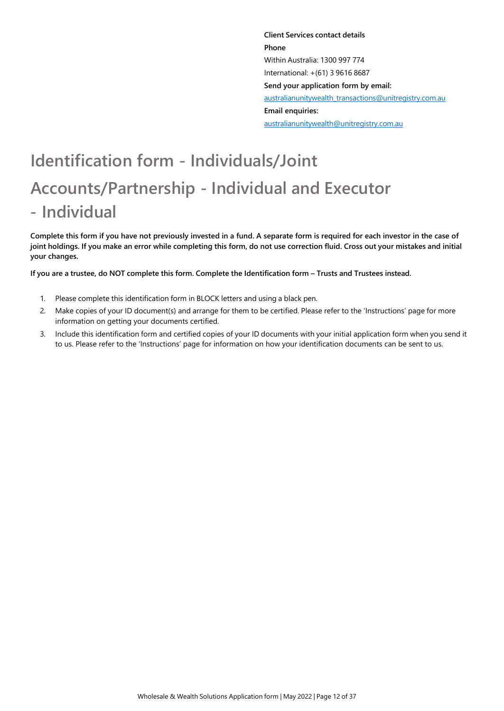**Client Services contact details Phone** Within Australia: 1300 997 774 International: +(61) 3 9616 8687 **Send your application form by email:**  australianunitywealth\_transactions@unitregistry.com.au **Email enquiries:** australianunitywealth@unitregistry.com.au

# **Identification form - Individuals/Joint Accounts/Partnership - Individual and Executor - Individual**

**Complete this form if you have not previously invested in a fund. A separate form is required for each investor in the case of**  joint holdings. If you make an error while completing this form, do not use correction fluid. Cross out your mistakes and initial **your changes.**

If you are a trustee, do NOT complete this form. Complete the Identification form - Trusts and Trustees instead.

- 1. Please complete this identification form in BLOCK letters and using a black pen.
- 2. Make copies of your ID document(s) and arrange for them to be certified. Please refer to the 'Instructions' page for more information on getting your documents certified.
- 3. Include this identification form and certified copies of your ID documents with your initial application form when you send it to us. Please refer to the 'Instructions' page for information on how your identification documents can be sent to us.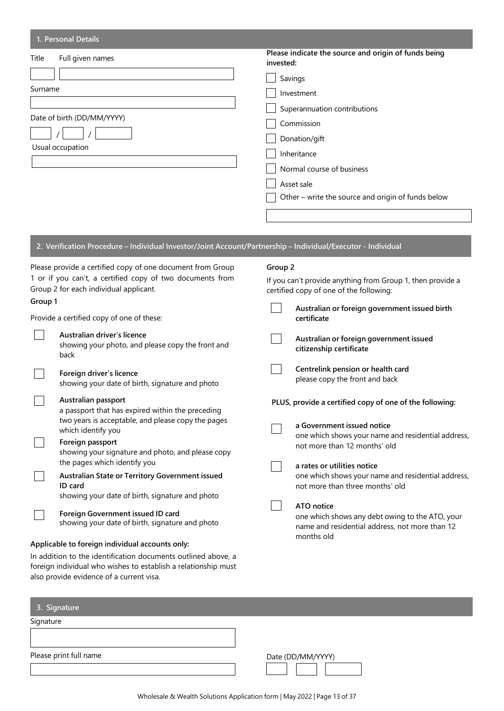| Please indicate the source and origin of funds being<br>Full given names<br>invested:<br>Savings<br>Surname<br>Investment<br>Superannuation contributions<br>Date of birth (DD/MM/YYYY)<br>Commission<br>Donation/gift<br>Usual occupation<br>Inheritance<br>Normal course of business<br>Asset sale<br>Other – write the source and origin of funds below<br>2. Verification Procedure - Individual Investor/Joint Account/Partnership - Individual/Executor - Individual<br>Group 2<br>Please provide a certified copy of one document from Group<br>1 or if you can't, a certified copy of two documents from<br>If you can't provide anything from Group 1, then provide a<br>Group 2 for each individual applicant.<br>certified copy of one of the following:<br>Group 1<br>Australian or foreign government issued birth<br>Provide a certified copy of one of these:<br>certificate<br>Australian driver's licence<br>Australian or foreign government issued<br>showing your photo, and please copy the front and<br>citizenship certificate<br>back<br>Centrelink pension or health card<br>Foreign driver's licence<br>please copy the front and back<br>showing your date of birth, signature and photo<br>Australian passport<br>PLUS, provide a certified copy of one of the following:<br>a passport that has expired within the preceding<br>two years is acceptable, and please copy the pages<br>a Government issued notice<br>which identify you<br>one which shows your name and residential address,<br>Foreign passport<br>not more than 12 months' old<br>showing your signature and photo, and please copy<br>the pages which identify you<br>a rates or utilities notice<br>Australian State or Territory Government issued<br>one which shows your name and residential address, |       | 1. Personal Details |                                 |
|------------------------------------------------------------------------------------------------------------------------------------------------------------------------------------------------------------------------------------------------------------------------------------------------------------------------------------------------------------------------------------------------------------------------------------------------------------------------------------------------------------------------------------------------------------------------------------------------------------------------------------------------------------------------------------------------------------------------------------------------------------------------------------------------------------------------------------------------------------------------------------------------------------------------------------------------------------------------------------------------------------------------------------------------------------------------------------------------------------------------------------------------------------------------------------------------------------------------------------------------------------------------------------------------------------------------------------------------------------------------------------------------------------------------------------------------------------------------------------------------------------------------------------------------------------------------------------------------------------------------------------------------------------------------------------------------------------------------------------------------------------------------------------------------------------|-------|---------------------|---------------------------------|
|                                                                                                                                                                                                                                                                                                                                                                                                                                                                                                                                                                                                                                                                                                                                                                                                                                                                                                                                                                                                                                                                                                                                                                                                                                                                                                                                                                                                                                                                                                                                                                                                                                                                                                                                                                                                            | Title |                     |                                 |
|                                                                                                                                                                                                                                                                                                                                                                                                                                                                                                                                                                                                                                                                                                                                                                                                                                                                                                                                                                                                                                                                                                                                                                                                                                                                                                                                                                                                                                                                                                                                                                                                                                                                                                                                                                                                            |       |                     |                                 |
|                                                                                                                                                                                                                                                                                                                                                                                                                                                                                                                                                                                                                                                                                                                                                                                                                                                                                                                                                                                                                                                                                                                                                                                                                                                                                                                                                                                                                                                                                                                                                                                                                                                                                                                                                                                                            |       |                     |                                 |
|                                                                                                                                                                                                                                                                                                                                                                                                                                                                                                                                                                                                                                                                                                                                                                                                                                                                                                                                                                                                                                                                                                                                                                                                                                                                                                                                                                                                                                                                                                                                                                                                                                                                                                                                                                                                            |       |                     |                                 |
|                                                                                                                                                                                                                                                                                                                                                                                                                                                                                                                                                                                                                                                                                                                                                                                                                                                                                                                                                                                                                                                                                                                                                                                                                                                                                                                                                                                                                                                                                                                                                                                                                                                                                                                                                                                                            |       |                     |                                 |
|                                                                                                                                                                                                                                                                                                                                                                                                                                                                                                                                                                                                                                                                                                                                                                                                                                                                                                                                                                                                                                                                                                                                                                                                                                                                                                                                                                                                                                                                                                                                                                                                                                                                                                                                                                                                            |       |                     |                                 |
|                                                                                                                                                                                                                                                                                                                                                                                                                                                                                                                                                                                                                                                                                                                                                                                                                                                                                                                                                                                                                                                                                                                                                                                                                                                                                                                                                                                                                                                                                                                                                                                                                                                                                                                                                                                                            |       |                     |                                 |
|                                                                                                                                                                                                                                                                                                                                                                                                                                                                                                                                                                                                                                                                                                                                                                                                                                                                                                                                                                                                                                                                                                                                                                                                                                                                                                                                                                                                                                                                                                                                                                                                                                                                                                                                                                                                            |       |                     |                                 |
|                                                                                                                                                                                                                                                                                                                                                                                                                                                                                                                                                                                                                                                                                                                                                                                                                                                                                                                                                                                                                                                                                                                                                                                                                                                                                                                                                                                                                                                                                                                                                                                                                                                                                                                                                                                                            |       |                     |                                 |
|                                                                                                                                                                                                                                                                                                                                                                                                                                                                                                                                                                                                                                                                                                                                                                                                                                                                                                                                                                                                                                                                                                                                                                                                                                                                                                                                                                                                                                                                                                                                                                                                                                                                                                                                                                                                            |       |                     |                                 |
|                                                                                                                                                                                                                                                                                                                                                                                                                                                                                                                                                                                                                                                                                                                                                                                                                                                                                                                                                                                                                                                                                                                                                                                                                                                                                                                                                                                                                                                                                                                                                                                                                                                                                                                                                                                                            |       |                     |                                 |
|                                                                                                                                                                                                                                                                                                                                                                                                                                                                                                                                                                                                                                                                                                                                                                                                                                                                                                                                                                                                                                                                                                                                                                                                                                                                                                                                                                                                                                                                                                                                                                                                                                                                                                                                                                                                            |       |                     |                                 |
|                                                                                                                                                                                                                                                                                                                                                                                                                                                                                                                                                                                                                                                                                                                                                                                                                                                                                                                                                                                                                                                                                                                                                                                                                                                                                                                                                                                                                                                                                                                                                                                                                                                                                                                                                                                                            |       |                     |                                 |
|                                                                                                                                                                                                                                                                                                                                                                                                                                                                                                                                                                                                                                                                                                                                                                                                                                                                                                                                                                                                                                                                                                                                                                                                                                                                                                                                                                                                                                                                                                                                                                                                                                                                                                                                                                                                            |       |                     |                                 |
|                                                                                                                                                                                                                                                                                                                                                                                                                                                                                                                                                                                                                                                                                                                                                                                                                                                                                                                                                                                                                                                                                                                                                                                                                                                                                                                                                                                                                                                                                                                                                                                                                                                                                                                                                                                                            |       |                     |                                 |
|                                                                                                                                                                                                                                                                                                                                                                                                                                                                                                                                                                                                                                                                                                                                                                                                                                                                                                                                                                                                                                                                                                                                                                                                                                                                                                                                                                                                                                                                                                                                                                                                                                                                                                                                                                                                            |       |                     |                                 |
|                                                                                                                                                                                                                                                                                                                                                                                                                                                                                                                                                                                                                                                                                                                                                                                                                                                                                                                                                                                                                                                                                                                                                                                                                                                                                                                                                                                                                                                                                                                                                                                                                                                                                                                                                                                                            |       |                     |                                 |
|                                                                                                                                                                                                                                                                                                                                                                                                                                                                                                                                                                                                                                                                                                                                                                                                                                                                                                                                                                                                                                                                                                                                                                                                                                                                                                                                                                                                                                                                                                                                                                                                                                                                                                                                                                                                            |       |                     |                                 |
|                                                                                                                                                                                                                                                                                                                                                                                                                                                                                                                                                                                                                                                                                                                                                                                                                                                                                                                                                                                                                                                                                                                                                                                                                                                                                                                                                                                                                                                                                                                                                                                                                                                                                                                                                                                                            |       |                     |                                 |
|                                                                                                                                                                                                                                                                                                                                                                                                                                                                                                                                                                                                                                                                                                                                                                                                                                                                                                                                                                                                                                                                                                                                                                                                                                                                                                                                                                                                                                                                                                                                                                                                                                                                                                                                                                                                            |       |                     |                                 |
|                                                                                                                                                                                                                                                                                                                                                                                                                                                                                                                                                                                                                                                                                                                                                                                                                                                                                                                                                                                                                                                                                                                                                                                                                                                                                                                                                                                                                                                                                                                                                                                                                                                                                                                                                                                                            |       |                     |                                 |
|                                                                                                                                                                                                                                                                                                                                                                                                                                                                                                                                                                                                                                                                                                                                                                                                                                                                                                                                                                                                                                                                                                                                                                                                                                                                                                                                                                                                                                                                                                                                                                                                                                                                                                                                                                                                            |       |                     |                                 |
|                                                                                                                                                                                                                                                                                                                                                                                                                                                                                                                                                                                                                                                                                                                                                                                                                                                                                                                                                                                                                                                                                                                                                                                                                                                                                                                                                                                                                                                                                                                                                                                                                                                                                                                                                                                                            |       |                     |                                 |
|                                                                                                                                                                                                                                                                                                                                                                                                                                                                                                                                                                                                                                                                                                                                                                                                                                                                                                                                                                                                                                                                                                                                                                                                                                                                                                                                                                                                                                                                                                                                                                                                                                                                                                                                                                                                            |       |                     |                                 |
|                                                                                                                                                                                                                                                                                                                                                                                                                                                                                                                                                                                                                                                                                                                                                                                                                                                                                                                                                                                                                                                                                                                                                                                                                                                                                                                                                                                                                                                                                                                                                                                                                                                                                                                                                                                                            |       | ID card             | not more than three months' old |
| showing your date of birth, signature and photo                                                                                                                                                                                                                                                                                                                                                                                                                                                                                                                                                                                                                                                                                                                                                                                                                                                                                                                                                                                                                                                                                                                                                                                                                                                                                                                                                                                                                                                                                                                                                                                                                                                                                                                                                            |       |                     |                                 |
| ATO notice<br>Foreign Government issued ID card<br>one which shows any debt owing to the ATO, your                                                                                                                                                                                                                                                                                                                                                                                                                                                                                                                                                                                                                                                                                                                                                                                                                                                                                                                                                                                                                                                                                                                                                                                                                                                                                                                                                                                                                                                                                                                                                                                                                                                                                                         |       |                     |                                 |

showing your date of birth, signature and photo

# **Applicable to foreign individual accounts only:**

In addition to the identification documents outlined above, a foreign individual who wishes to establish a relationship must also provide evidence of a current visa.

| 3. Signature           |                   |
|------------------------|-------------------|
| Signature              |                   |
| Please print full name | Date (DD/MM/YYYY) |
|                        |                   |

name and residential address, not more than 12

months old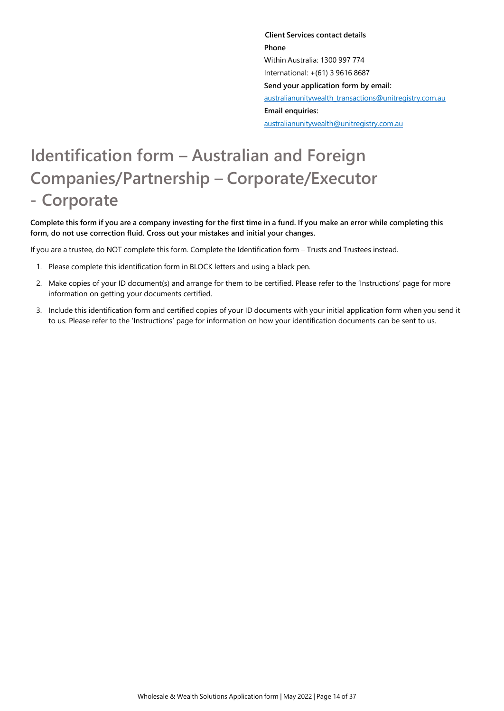**Client Services contact details Phone** Within Australia: 1300 997 774 International: +(61) 3 9616 8687 **Send your application form by email:**  australianunitywealth\_transactions@unitregistry.com.au **Email enquiries:**  australianunitywealth@unitregistry.com.au

# **Identification form – Australian and Foreign Companies/Partnership – Corporate/Executor - Corporate**

Complete this form if you are a company investing for the first time in a fund. If you make an error while completing this **form, do not use correction fluid. Cross out your mistakes and initial your changes.**

If you are a trustee, do NOT complete this form. Complete the Identification form – Trusts and Trustees instead.

- 1. Please complete this identification form in BLOCK letters and using a black pen.
- 2. Make copies of your ID document(s) and arrange for them to be certified. Please refer to the 'Instructions' page for more information on getting your documents certified.
- 3. Include this identification form and certified copies of your ID documents with your initial application form when you send it to us. Please refer to the 'Instructions' page for information on how your identification documents can be sent to us.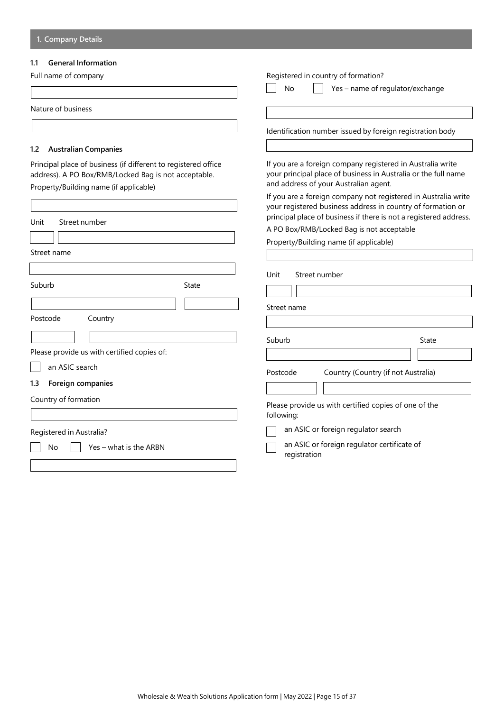# **1.1 General Information**

| Full name of company                                                                                                                                             | Registered in country of formation?                                                                                                                                                                |  |
|------------------------------------------------------------------------------------------------------------------------------------------------------------------|----------------------------------------------------------------------------------------------------------------------------------------------------------------------------------------------------|--|
|                                                                                                                                                                  | No<br>Yes - name of regulator/exchange                                                                                                                                                             |  |
| Nature of business                                                                                                                                               |                                                                                                                                                                                                    |  |
|                                                                                                                                                                  | Identification number issued by foreign registration body                                                                                                                                          |  |
| <b>Australian Companies</b><br>1.2                                                                                                                               |                                                                                                                                                                                                    |  |
| Principal place of business (if different to registered office<br>address). A PO Box/RMB/Locked Bag is not acceptable.<br>Property/Building name (if applicable) | If you are a foreign company registered in Australia write<br>your principal place of business in Australia or the full name<br>and address of your Australian agent.                              |  |
|                                                                                                                                                                  | If you are a foreign company not registered in Australia write<br>your registered business address in country of formation or<br>principal place of business if there is not a registered address. |  |
| Unit<br>Street number                                                                                                                                            | A PO Box/RMB/Locked Bag is not acceptable                                                                                                                                                          |  |
|                                                                                                                                                                  | Property/Building name (if applicable)                                                                                                                                                             |  |
| Street name                                                                                                                                                      |                                                                                                                                                                                                    |  |
| Suburb<br>State<br>Postcode<br>Country                                                                                                                           | Unit<br>Street number<br>Street name                                                                                                                                                               |  |
|                                                                                                                                                                  | Suburb<br>State                                                                                                                                                                                    |  |
| Please provide us with certified copies of:                                                                                                                      |                                                                                                                                                                                                    |  |
| an ASIC search                                                                                                                                                   |                                                                                                                                                                                                    |  |
| Foreign companies<br>1.3                                                                                                                                         | Country (Country (if not Australia)<br>Postcode                                                                                                                                                    |  |
| Country of formation                                                                                                                                             | Please provide us with certified copies of one of the                                                                                                                                              |  |
|                                                                                                                                                                  | following:                                                                                                                                                                                         |  |
| Registered in Australia?                                                                                                                                         | an ASIC or foreign regulator search                                                                                                                                                                |  |
| Yes – what is the ARBN<br>No                                                                                                                                     | an ASIC or foreign regulator certificate of<br>registration                                                                                                                                        |  |
|                                                                                                                                                                  |                                                                                                                                                                                                    |  |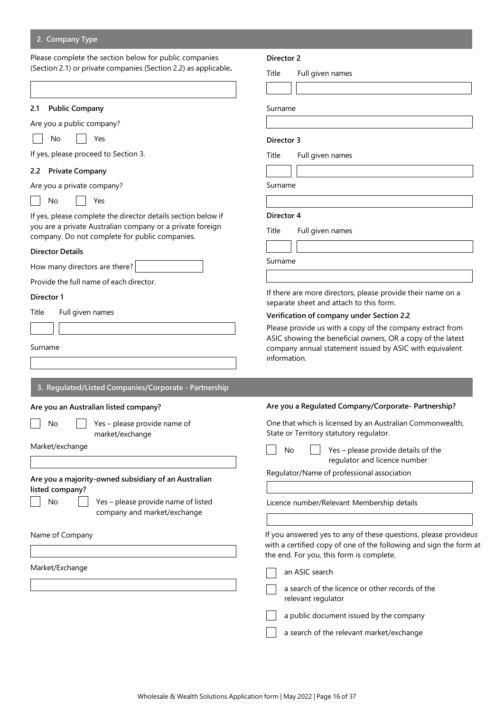# **2. Company Type**

Please complete the section below for public companies (Section 2.1) or private companies (Section 2.2) as applicable**.**

| 2.1 | <b>Public Company</b> |
|-----|-----------------------|
|     |                       |

Are you a public company?

No Yes

If yes, please proceed to Section 3.

#### **2.2 Private Company**

Are you a private company?

No Yes - 1

If yes, please complete the director details section below if you are a private Australian company or a private foreign company. Do not complete for public companies.

#### **Director Details**

How many directors are there?

Provide the full name of each director.

# **Director 1**

Title Full given names

Surname

| 3. Regulated/Listed Companies/Corporate - Partnership |
|-------------------------------------------------------|
|                                                       |

# **Are you an Australian listed company?**

No | Yes – please provide name of

Market/exchange

**Are you a majority-owned subsidiary of an Australian listed company?**

market/exchange

No  $\vert \vert$  Yes – please provide name of listed company and market/exchange

Name of Company

Market/Exchange

#### **Director 2**

Title Full given names

Surname

#### **Director 3**

Title Full given names

Surname

#### **Director 4**

Title Full given names

Surname

If there are more directors, please provide their name on a separate sheet and attach to this form.

#### **Verification of company under Section 2.2**

Please provide us with a copy of the company extract from ASIC showing the beneficial owners, OR a copy of the latest company annual statement issued by ASIC with equivalent information.

One that which is licensed by an Australian Commonwealth, State or Territory statutory regulator.

No  $\vert$  Yes – please provide details of the regulator and licence number

Regulator/Name of professional association

Licence number/Relevant Membership details

If you answered yes to any of these questions, please provideus with a certified copy of one of the following and sign the form at the end. For you, this form is complete.

an ASIC search

a search of the licence or other records of the relevant regulator

a public document issued by the company

a search of the relevant market/exchange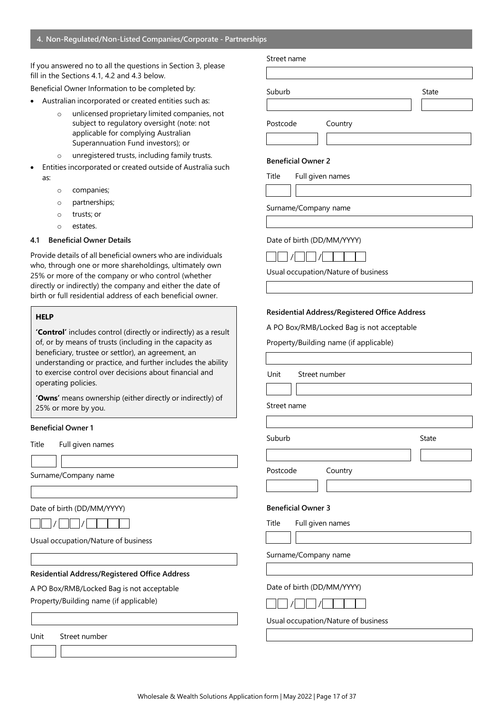### **4. Non-Regulated/Non-Listed Companies/Corporate - Partnerships**

If you answered no to all the questions in Section 3, please fill in the Sections 4.1, 4.2 and 4.3 below.

Beneficial Owner Information to be completed by:

- Australian incorporated or created entities such as:
	- o unlicensed proprietary limited companies, not subject to regulatory oversight (note: not applicable for complying Australian Superannuation Fund investors); or
	- o unregistered trusts, including family trusts.
- Entities incorporated or created outside of Australia such as:
	- o companies;
	- o partnerships;
	- o trusts; or
	- o estates.

# **4.1 Beneficial Owner Details**

Provide details of all beneficial owners who are individuals who, through one or more shareholdings, ultimately own 25% or more of the company or who control (whether directly or indirectly) the company and either the date of birth or full residential address of each beneficial owner.

# **HELP**

**'Control'** includes control (directly or indirectly) as a result of, or by means of trusts (including in the capacity as beneficiary, trustee or settlor), an agreement, an understanding or practice, and further includes the ability to exercise control over decisions about financial and operating policies.

**'Owns'** means ownership (either directly or indirectly) of 25% or more by you.

#### **Beneficial Owner 1**

Title Full given names

Surname/Company name

Date of birth (DD/MM/YYYY)



Usual occupation/Nature of business

**Residential Address/Registered Office Address**

A PO Box/RMB/Locked Bag is not acceptable

Property/Building name (if applicable)

Unit Street number

# Street name

Suburb **Suburb** State State State State State State State State State State State State State State State State State State State State State State State State State State State State State State State State State State St

Postcode Country

#### **Beneficial Owner 2**

Title Full given names

Surname/Company name

#### Date of birth (DD/MM/YYYY)



Usual occupation/Nature of business

#### **Residential Address/Registered Office Address**

A PO Box/RMB/Locked Bag is not acceptable

Property/Building name (if applicable)

Unit Street number

Street name

Suburb **Suburb** State

Postcode Country

# **Beneficial Owner 3**

Title Full given names

Surname/Company name

#### Date of birth (DD/MM/YYYY)

Usual occupation/Nature of business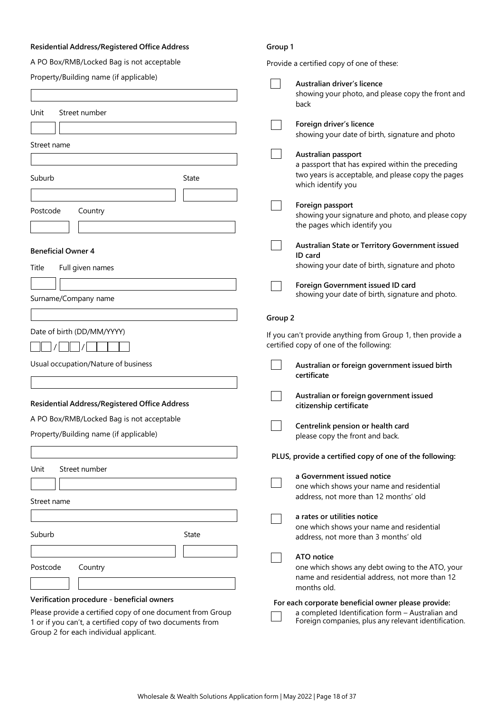# **Residential Address/Registered Office Address**

A PO Box/RMB/Locked Bag is not acceptable

# **Group 1**

| A PO Box/RMB/Locked Bag is not acceptable                  | Provide a certified copy of one of these:                                                             |
|------------------------------------------------------------|-------------------------------------------------------------------------------------------------------|
| Property/Building name (if applicable)                     | Australian driver's licence                                                                           |
|                                                            | showing your photo, and please copy the front and                                                     |
|                                                            | back                                                                                                  |
| Unit<br>Street number                                      | Foreign driver's licence                                                                              |
|                                                            | showing your date of birth, signature and photo                                                       |
| Street name                                                |                                                                                                       |
|                                                            | Australian passport<br>a passport that has expired within the preceding                               |
| Suburb<br>State                                            | two years is acceptable, and please copy the pages<br>which identify you                              |
|                                                            |                                                                                                       |
| Postcode<br>Country                                        | Foreign passport<br>showing your signature and photo, and please copy                                 |
|                                                            | the pages which identify you                                                                          |
| <b>Beneficial Owner 4</b>                                  | Australian State or Territory Government issued<br>ID card                                            |
| Title<br>Full given names                                  | showing your date of birth, signature and photo                                                       |
|                                                            | Foreign Government issued ID card                                                                     |
| Surname/Company name                                       | showing your date of birth, signature and photo.                                                      |
|                                                            |                                                                                                       |
|                                                            | Group 2                                                                                               |
| Date of birth (DD/MM/YYYY)                                 | If you can't provide anything from Group 1, then provide a<br>certified copy of one of the following: |
| Usual occupation/Nature of business                        | Australian or foreign government issued birth                                                         |
|                                                            | certificate                                                                                           |
|                                                            | Australian or foreign government issued                                                               |
| <b>Residential Address/Registered Office Address</b>       | citizenship certificate                                                                               |
| A PO Box/RMB/Locked Bag is not acceptable                  | Centrelink pension or health card                                                                     |
| Property/Building name (if applicable)                     | please copy the front and back.                                                                       |
|                                                            | PLUS, provide a certified copy of one of the following:                                               |
| Street number<br>Unit                                      |                                                                                                       |
|                                                            | a Government issued notice<br>one which shows your name and residential                               |
| Street name                                                | address, not more than 12 months' old                                                                 |
|                                                            | a rates or utilities notice                                                                           |
|                                                            | one which shows your name and residential                                                             |
| Suburb<br>State                                            | address, not more than 3 months' old                                                                  |
|                                                            | ATO notice                                                                                            |
| Postcode<br>Country                                        | one which shows any debt owing to the ATO, your                                                       |
|                                                            | name and residential address, not more than 12<br>months old.                                         |
| Verification procedure - beneficial owners                 | For each corporate beneficial owner please provide:                                                   |
| Please provide a certified copy of one document from Group | a completed Identification form - Australian and                                                      |
| 1 or if you can't, a certified copy of two documents from  | Foreign companies, plus any relevant identification.                                                  |
| Group 2 for each individual applicant.                     |                                                                                                       |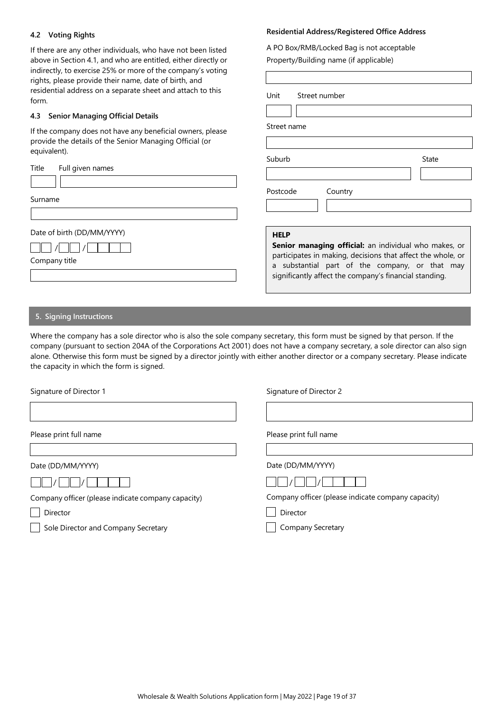# **4.2 Voting Rights**

If there are any other individuals, who have not been listed above in Section 4.1, and who are entitled, either directly or indirectly, to exercise 25% or more of the company's voting rights, please provide their name, date of birth, and residential address on a separate sheet and attach to this form.

# **4.3 Senior Managing Official Details**

If the company does not have any beneficial owners, please provide the details of the Senior Managing Official (or equivalent).

| Title | Full given names |  |
|-------|------------------|--|
|       |                  |  |

Surname

Date of birth (DD/MM/YYYY)

Company title

# **Residential Address/Registered Office Address**

A PO Box/RMB/Locked Bag is not acceptable Property/Building name (if applicable)

| Unit        | Street number |                                                                                                                                                                                                                                       |
|-------------|---------------|---------------------------------------------------------------------------------------------------------------------------------------------------------------------------------------------------------------------------------------|
|             |               |                                                                                                                                                                                                                                       |
|             |               |                                                                                                                                                                                                                                       |
| Street name |               |                                                                                                                                                                                                                                       |
|             |               |                                                                                                                                                                                                                                       |
| Suburb      |               | State                                                                                                                                                                                                                                 |
|             |               |                                                                                                                                                                                                                                       |
| Postcode    | Country       |                                                                                                                                                                                                                                       |
|             |               |                                                                                                                                                                                                                                       |
|             |               |                                                                                                                                                                                                                                       |
| <b>HELP</b> |               |                                                                                                                                                                                                                                       |
| a           |               | <b>Senior managing official:</b> an individual who makes, or<br>participates in making, decisions that affect the whole, or<br>substantial part of the company, or that may<br>significantly affect the company's financial standing. |

### **5. Signing Instructions**

Where the company has a sole director who is also the sole company secretary, this form must be signed by that person. If the company (pursuant to section 204A of the Corporations Act 2001) does not have a company secretary, a sole director can also sign alone. Otherwise this form must be signed by a director jointly with either another director or a company secretary. Please indicate the capacity in which the form is signed.

Signature of Director 1

Signature of Director 2

Please print full name

Date (DD/MM/YYYY)

Company officer (please indicate company capacity)

Director

Sole Director and Company Secretary

Please print full name

Date (DD/MM/YYYY)

|--|--|--|--|

Company officer (please indicate company capacity)

Director

 $\sqrt{2}$ 

Company Secretary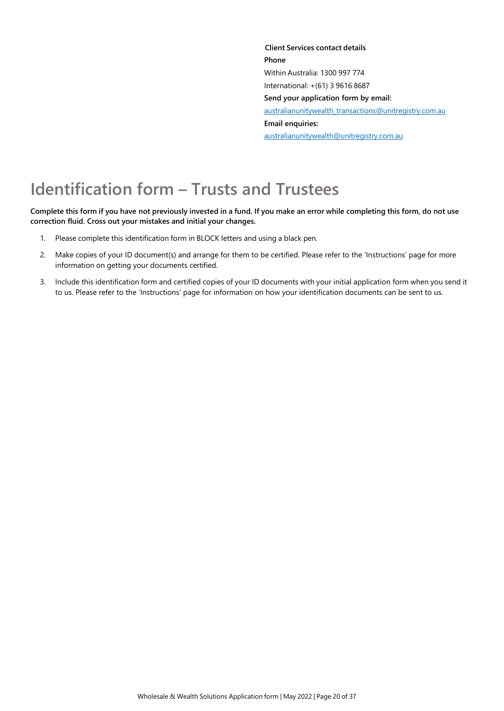**Client Services contact details Phone** Within Australia: 1300 997 774 International: +(61) 3 9616 8687 **Send your application form by email:**  australianunitywealth\_transactions@unitregistry.com.au **Email enquiries:**  australianunitywealth@unitregistry.com.au

# **Identification form – Trusts and Trustees**

Complete this form if you have not previously invested in a fund. If you make an error while completing this form, do not use **correction fluid. Cross out your mistakes and initial your changes.**

- 1. Please complete this identification form in BLOCK letters and using a black pen.
- 2. Make copies of your ID document(s) and arrange for them to be certified. Please refer to the 'Instructions' page for more information on getting your documents certified.
- 3. Include this identification form and certified copies of your ID documents with your initial application form when you send it to us. Please refer to the 'Instructions' page for information on how your identification documents can be sent to us.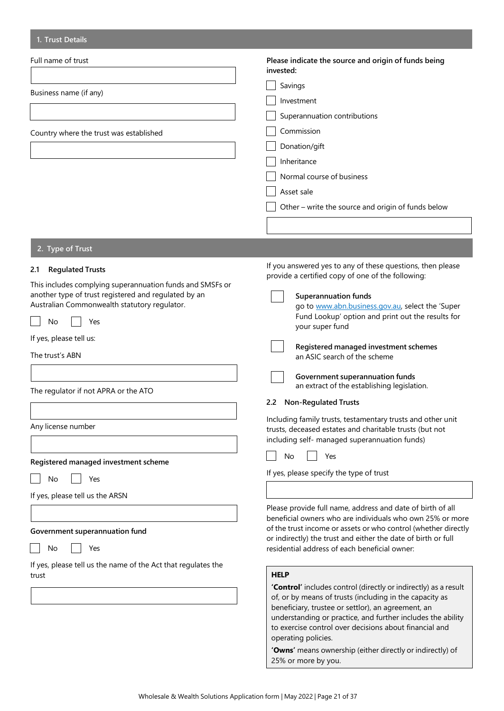| 1. Trust Details                                                                                                                                                                                                                                                                                                                                                                  |                                                                                                                                                                                                                                                                                                                                                                                                                                                                                                                                                                                                                                                                                                                             |
|-----------------------------------------------------------------------------------------------------------------------------------------------------------------------------------------------------------------------------------------------------------------------------------------------------------------------------------------------------------------------------------|-----------------------------------------------------------------------------------------------------------------------------------------------------------------------------------------------------------------------------------------------------------------------------------------------------------------------------------------------------------------------------------------------------------------------------------------------------------------------------------------------------------------------------------------------------------------------------------------------------------------------------------------------------------------------------------------------------------------------------|
| Full name of trust<br>Business name (if any)<br>Country where the trust was established                                                                                                                                                                                                                                                                                           | Please indicate the source and origin of funds being<br>invested:<br>Savings<br>Investment<br>Superannuation contributions<br>Commission<br>Donation/gift<br>Inheritance<br>Normal course of business<br>Asset sale<br>Other - write the source and origin of funds below                                                                                                                                                                                                                                                                                                                                                                                                                                                   |
|                                                                                                                                                                                                                                                                                                                                                                                   |                                                                                                                                                                                                                                                                                                                                                                                                                                                                                                                                                                                                                                                                                                                             |
| 2. Type of Trust                                                                                                                                                                                                                                                                                                                                                                  |                                                                                                                                                                                                                                                                                                                                                                                                                                                                                                                                                                                                                                                                                                                             |
| <b>Regulated Trusts</b><br>2.1<br>This includes complying superannuation funds and SMSFs or<br>another type of trust registered and regulated by an<br>Australian Commonwealth statutory regulator.<br>Yes<br>No<br>If yes, please tell us:<br>The trust's ABN<br>The regulator if not APRA or the ATO<br>Any license number<br>Registered managed investment scheme<br>Yes<br>No | If you answered yes to any of these questions, then please<br>provide a certified copy of one of the following:<br><b>Superannuation funds</b><br>go to www.abn.business.gov.au, select the 'Super<br>Fund Lookup' option and print out the results for<br>your super fund<br>Registered managed investment schemes<br>an ASIC search of the scheme<br>Government superannuation funds<br>an extract of the establishing legislation.<br><b>Non-Regulated Trusts</b><br>2.2<br>Including family trusts, testamentary trusts and other unit<br>trusts, deceased estates and charitable trusts (but not<br>including self- managed superannuation funds)<br>No<br>Yes<br>If yes, please specify the type of trust             |
| If yes, please tell us the ARSN<br>Government superannuation fund<br>Yes<br>No<br>If yes, please tell us the name of the Act that regulates the<br>trust                                                                                                                                                                                                                          | Please provide full name, address and date of birth of all<br>beneficial owners who are individuals who own 25% or more<br>of the trust income or assets or who control (whether directly<br>or indirectly) the trust and either the date of birth or full<br>residential address of each beneficial owner:<br><b>HELP</b><br>'Control' includes control (directly or indirectly) as a result<br>of, or by means of trusts (including in the capacity as<br>beneficiary, trustee or settlor), an agreement, an<br>understanding or practice, and further includes the ability<br>to exercise control over decisions about financial and<br>operating policies.<br>'Owns' means ownership (either directly or indirectly) of |

25% or more by you.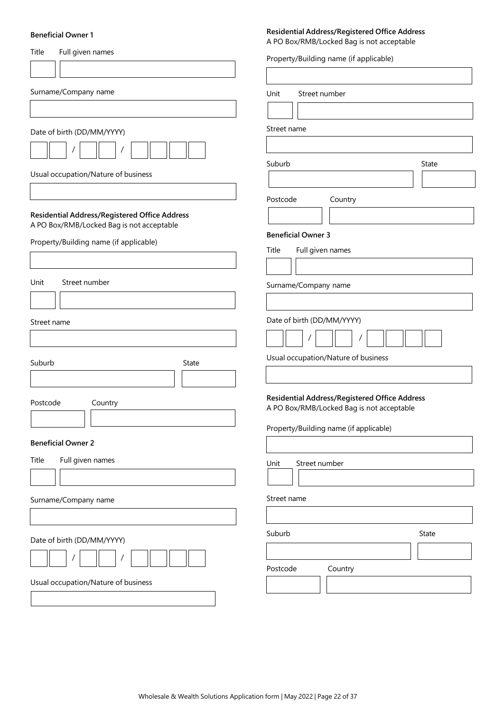#### **Beneficial Owner 1**

# Title Full given names Surname/Company name Date of birth (DD/MM/YYYY) / / Usual occupation/Nature of business **Residential Address/Registered Office Address** A PO Box/RMB/Locked Bag is not acceptable Property/Building name (if applicable) Unit Street number Street name Suburb State State Postcode Country **Beneficial Owner 2** Title Full given names Surname/Company name Date of birth (DD/MM/YYYY) / / Usual occupation/Nature of business A PO Box/RMB/Locked Bag is not acceptable Property/Building name (if applicable) Unit Street number Street name Suburb State State Postcode Country **Beneficial Owner 3** Title Full given names Surname/Company name Date of birth (DD/MM/YYYY) / / Usual occupation/Nature of business **Residential Address/Registered Office Address** A PO Box/RMB/Locked Bag is not acceptable Property/Building name (if applicable) Unit Street number Street name Suburb State State Postcode Country

**Residential Address/Registered Office Address**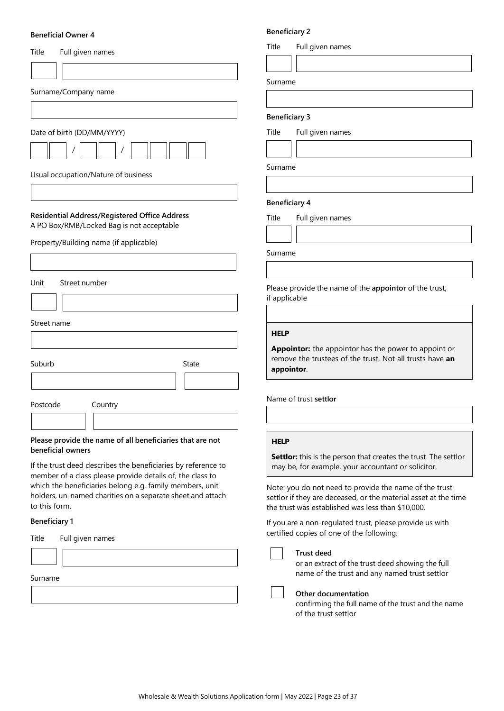#### **Beneficial Owner 4**

| Full given names<br>Title                                                                                                                                                                                                                                             |        |
|-----------------------------------------------------------------------------------------------------------------------------------------------------------------------------------------------------------------------------------------------------------------------|--------|
|                                                                                                                                                                                                                                                                       |        |
| Surname/Company name                                                                                                                                                                                                                                                  |        |
|                                                                                                                                                                                                                                                                       |        |
| Date of birth (DD/MM/YYYY)                                                                                                                                                                                                                                            |        |
|                                                                                                                                                                                                                                                                       |        |
| Usual occupation/Nature of business                                                                                                                                                                                                                                   |        |
|                                                                                                                                                                                                                                                                       |        |
| <b>Residential Address/Registered Office Address</b><br>A PO Box/RMB/Locked Bag is not acceptable                                                                                                                                                                     |        |
| Property/Building name (if applicable)                                                                                                                                                                                                                                |        |
|                                                                                                                                                                                                                                                                       |        |
| Unit<br>Street number                                                                                                                                                                                                                                                 |        |
|                                                                                                                                                                                                                                                                       |        |
| Street name                                                                                                                                                                                                                                                           |        |
|                                                                                                                                                                                                                                                                       |        |
| Suburb<br>State                                                                                                                                                                                                                                                       |        |
|                                                                                                                                                                                                                                                                       |        |
| Postcode<br>Country                                                                                                                                                                                                                                                   | P      |
|                                                                                                                                                                                                                                                                       |        |
| Please provide the name of all beneficiaries that are not<br>beneficial owners                                                                                                                                                                                        |        |
| If the trust deed describes the beneficiaries by reference to<br>member of a class please provide details of, the class to<br>which the beneficiaries belong e.g. family members, unit<br>holders, un-named charities on a separate sheet and attach<br>to this form. | s<br>t |
| <b>Beneficiary 1</b>                                                                                                                                                                                                                                                  | ľ      |
| Title<br>Full given names                                                                                                                                                                                                                                             | c      |
|                                                                                                                                                                                                                                                                       |        |

| Surname |  |
|---------|--|
|---------|--|

 $\mathbb{R}$ 

# **Beneficiary 2**

Title Full given names

Surname

### **Beneficiary 3**

Title Full given names

Surname

#### **Beneficiary 4**

Title Full given names

Surname

Please provide the name of the **appointor** of the trust, f applicable

#### **HELP**

**Appointor:** the appointor has the power to appoint or remove the trustees of the trust. Not all trusts have **an appointor**.

Name of trust **settlor**

# **HELP**

**Settlor:** this is the person that creates the trust. The settlor may be, for example, your accountant or solicitor.

Note: you do not need to provide the name of the trust settlor if they are deceased, or the material asset at the time the trust was established was less than \$10,000.

f you are a non-regulated trust, please provide us with certified copies of one of the following:

#### **Trust deed**

or an extract of the trust deed showing the full name of the trust and any named trust settlor

**Other documentation**

confirming the full name of the trust and the name of the trust settlor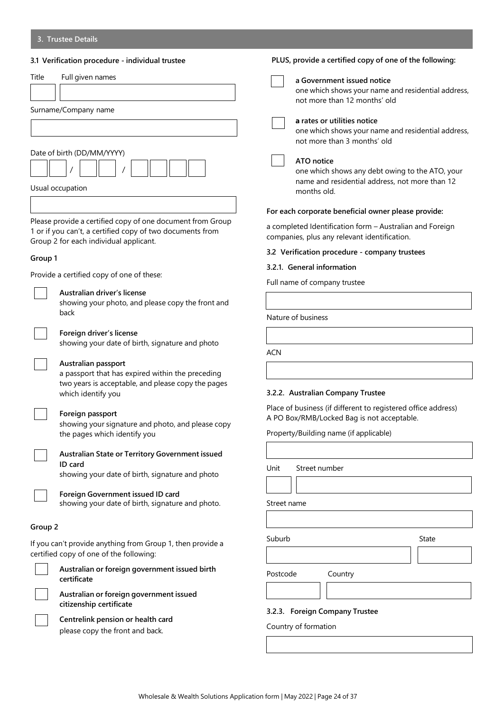|         | 3.1 Verification procedure - individual trustee                                                                                                                   | <b>PLUS</b>       |
|---------|-------------------------------------------------------------------------------------------------------------------------------------------------------------------|-------------------|
| Title   | Full given names                                                                                                                                                  |                   |
|         |                                                                                                                                                                   |                   |
|         | Surname/Company name                                                                                                                                              |                   |
|         |                                                                                                                                                                   |                   |
|         | Date of birth (DD/MM/YYYY)                                                                                                                                        |                   |
|         |                                                                                                                                                                   |                   |
|         | Usual occupation                                                                                                                                                  |                   |
|         |                                                                                                                                                                   | For ea            |
|         | Please provide a certified copy of one document from Group<br>1 or if you can't, a certified copy of two documents from<br>Group 2 for each individual applicant. | a comj<br>compa   |
| Group 1 |                                                                                                                                                                   | $3.2$ Ve          |
|         | Provide a certified copy of one of these:                                                                                                                         | 3.2.1.            |
|         | Australian driver's license<br>showing your photo, and please copy the front and                                                                                  | Full na           |
|         | back                                                                                                                                                              | Nature            |
|         | Foreign driver's license<br>showing your date of birth, signature and photo                                                                                       |                   |
|         | Australian passport                                                                                                                                               | <b>ACN</b>        |
|         | a passport that has expired within the preceding<br>two years is acceptable, and please copy the pages                                                            |                   |
|         | which identify you                                                                                                                                                | 3.2.2.            |
|         | Foreign passport<br>showing your signature and photo, and please copy                                                                                             | Place c<br>A PO E |
|         | the pages which identify you                                                                                                                                      | Proper            |
|         | Australian State or Territory Government issued<br>ID card                                                                                                        |                   |
|         | showing your date of birth, signature and photo                                                                                                                   | Unit              |
|         | Foreign Government issued ID card<br>showing your date of birth, signature and photo.                                                                             | Street            |
|         |                                                                                                                                                                   |                   |
| Group 2 |                                                                                                                                                                   | Suburk            |
|         | If you can't provide anything from Group 1, then provide a<br>certified copy of one of the following:                                                             |                   |
|         | Australian or foreign government issued birth<br>certificate                                                                                                      | Postco            |
|         | Australian or foreign government issued<br>citizenship certificate                                                                                                |                   |
|         | Centrelink pension or health card                                                                                                                                 | 3.2.3.            |
|         | please copy the front and back.                                                                                                                                   | Counti            |

|             | PLUS, provide a certified copy of one of the following:                                                                        |
|-------------|--------------------------------------------------------------------------------------------------------------------------------|
|             | a Government issued notice<br>one which shows your name and residential address,<br>not more than 12 months' old               |
|             | a rates or utilities notice<br>one which shows your name and residential address,<br>not more than 3 months' old               |
|             | ATO notice<br>one which shows any debt owing to the ATO, your<br>name and residential address, not more than 12<br>months old. |
|             | For each corporate beneficial owner please provide:                                                                            |
|             | a completed Identification form - Australian and Foreign<br>companies, plus any relevant identification.                       |
|             | 3.2 Verification procedure - company trustees                                                                                  |
|             | 3.2.1. General information                                                                                                     |
|             | Full name of company trustee                                                                                                   |
|             |                                                                                                                                |
|             | Nature of business                                                                                                             |
|             |                                                                                                                                |
|             |                                                                                                                                |
| ACN         |                                                                                                                                |
|             |                                                                                                                                |
|             |                                                                                                                                |
|             | 3.2.2. Australian Company Trustee                                                                                              |
|             | Place of business (if different to registered office address)                                                                  |
|             | A PO Box/RMB/Locked Bag is not acceptable.                                                                                     |
|             | Property/Building name (if applicable)                                                                                         |
| Unit        | Street number                                                                                                                  |
|             |                                                                                                                                |
|             |                                                                                                                                |
| Street name |                                                                                                                                |
|             |                                                                                                                                |
| Suburb      | State                                                                                                                          |

# **3.2.3. Foreign Company Trustee**

ry of formation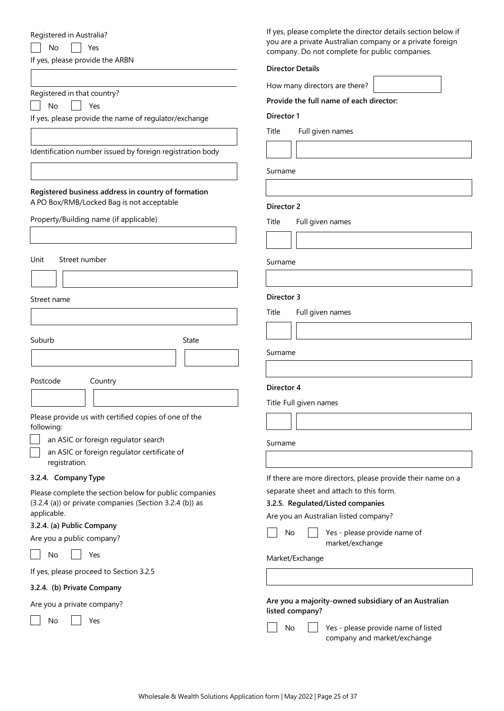| Registered in Australia?<br>No<br>Yes<br>If yes, please provide the ARBN                         | If yes, please complete the director details section below if<br>you are a private Australian company or a private foreign<br>company. Do not complete for public companies.<br><b>Director Details</b> |
|--------------------------------------------------------------------------------------------------|---------------------------------------------------------------------------------------------------------------------------------------------------------------------------------------------------------|
| Registered in that country?                                                                      | How many directors are there?                                                                                                                                                                           |
| Yes<br>No                                                                                        | Provide the full name of each director:                                                                                                                                                                 |
| If yes, please provide the name of regulator/exchange                                            | Director 1                                                                                                                                                                                              |
|                                                                                                  | Title<br>Full given names                                                                                                                                                                               |
| Identification number issued by foreign registration body                                        |                                                                                                                                                                                                         |
|                                                                                                  | Surname                                                                                                                                                                                                 |
| Registered business address in country of formation<br>A PO Box/RMB/Locked Bag is not acceptable |                                                                                                                                                                                                         |
|                                                                                                  | Director 2                                                                                                                                                                                              |
| Property/Building name (if applicable)                                                           | Title<br>Full given names                                                                                                                                                                               |
|                                                                                                  |                                                                                                                                                                                                         |
| Street number<br>Unit                                                                            | Surname                                                                                                                                                                                                 |
|                                                                                                  |                                                                                                                                                                                                         |
| Street name                                                                                      | Director 3                                                                                                                                                                                              |
|                                                                                                  | Title<br>Full given names                                                                                                                                                                               |
|                                                                                                  |                                                                                                                                                                                                         |
| Suburb<br><b>State</b>                                                                           |                                                                                                                                                                                                         |
|                                                                                                  | Surname                                                                                                                                                                                                 |
|                                                                                                  |                                                                                                                                                                                                         |
| Postcode<br>Country                                                                              | Director 4                                                                                                                                                                                              |
|                                                                                                  | Title Full given names                                                                                                                                                                                  |
| Please provide us with certified copies of one of the                                            |                                                                                                                                                                                                         |
| following:<br>an ASIC or foreign regulator search                                                |                                                                                                                                                                                                         |
| an ASIC or foreign regulator certificate of                                                      | Surname                                                                                                                                                                                                 |
| registration.                                                                                    |                                                                                                                                                                                                         |
| 3.2.4. Company Type                                                                              | If there are more directors, please provide their name on a                                                                                                                                             |
| Please complete the section below for public companies                                           | separate sheet and attach to this form.                                                                                                                                                                 |
| (3.2.4 (a)) or private companies (Section 3.2.4 (b)) as                                          | 3.2.5. Regulated/Listed companies                                                                                                                                                                       |
| applicable.<br>3.2.4. (a) Public Company                                                         | Are you an Australian listed company?                                                                                                                                                                   |
| Are you a public company?                                                                        | Yes - please provide name of<br>No                                                                                                                                                                      |
| No<br>Yes                                                                                        | market/exchange                                                                                                                                                                                         |
| If yes, please proceed to Section 3.2.5                                                          | Market/Exchange                                                                                                                                                                                         |
| 3.2.4. (b) Private Company                                                                       |                                                                                                                                                                                                         |
| Are you a private company?                                                                       | Are you a majority-owned subsidiary of an Australian                                                                                                                                                    |
|                                                                                                  | listed company?                                                                                                                                                                                         |
| No<br>Yes                                                                                        |                                                                                                                                                                                                         |

 $\Box$  No  $\Box$  Yes - please provide name of listed company and market/exchange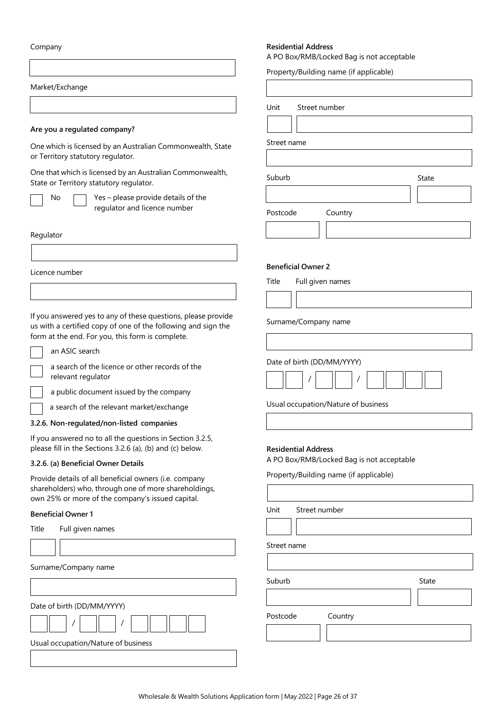Company

Market/Exchange

# **Are you a regulated company?**

One which is licensed by an Australian Commonwealth, State or Territory statutory regulator.

One that which is licensed by an Australian Commonwealth, State or Territory statutory regulator.

No  $\Box$  Yes – please provide details of the regulator and licence number

Regulator

Licence number

If you answered yes to any of these questions, please provide us with a certified copy of one of the following and sign the form at the end. For you, this form is complete.

| ı<br>dΙ<br>. .<br>× |
|---------------------|
|---------------------|

ASIC search

a search of the licence or other records of the relevant regulator

a public document issued by the company

a search of the relevant market/exchange

**3.2.6. Non-regulated/non-listed companies**

If you answered no to all the questions in Section 3.2.5, please fill in the Sections 3.2.6 (a), (b) and (c) below.

# **3.2.6. (a) Beneficial Owner Details**

Provide details of all beneficial owners (i.e. company shareholders) who, through one of more shareholdings, own 25% or more of the company's issued capital.

### **Beneficial Owner 1**

| Title<br>Full given names           |
|-------------------------------------|
|                                     |
| Surname/Company name                |
|                                     |
| Date of birth (DD/MM/YYYY)          |
|                                     |
| Usual occupation/Nature of business |
|                                     |
|                                     |

# **Residential Address**

A PO Box/RMB/Locked Bag is not acceptable

Property/Building name (if applicable)

Unit Street number ן ך

| Street name |         |       |
|-------------|---------|-------|
|             |         |       |
| Suburb      |         | State |
|             |         |       |
| Postcode    | Country |       |
|             |         |       |

#### **Beneficial Owner 2**

Title Full given names

Surname/Company name

Date of birth (DD/MM/YYYY)

|--|--|

Usual occupation/Nature of business

#### **Residential Address**

A PO Box/RMB/Locked Bag is not acceptable

Property/Building name (if applicable)

Unit Street number

Street name

Suburb State State

Postcode Country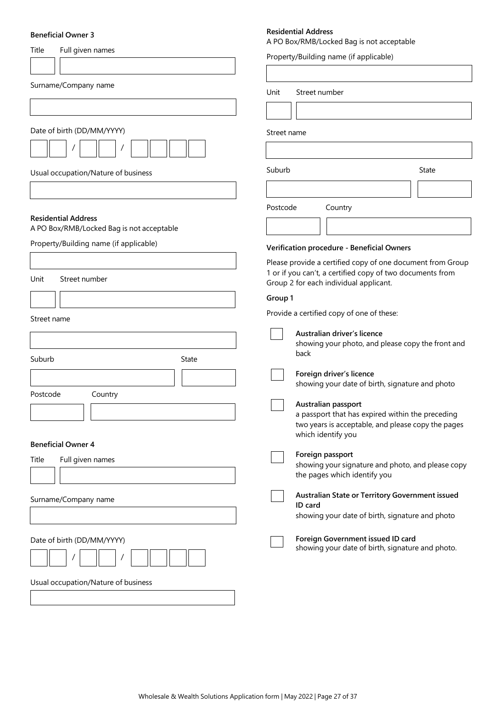# **Beneficial Owner 3**

| Title<br>Full given names                                                           | A PO Box/RMB/Locked Bag is not acceptable                                                                               |
|-------------------------------------------------------------------------------------|-------------------------------------------------------------------------------------------------------------------------|
|                                                                                     | Property/Building name (if applicable)                                                                                  |
|                                                                                     |                                                                                                                         |
| Surname/Company name                                                                | Unit<br>Street number                                                                                                   |
|                                                                                     |                                                                                                                         |
|                                                                                     |                                                                                                                         |
| Date of birth (DD/MM/YYYY)                                                          | Street name                                                                                                             |
|                                                                                     |                                                                                                                         |
| Usual occupation/Nature of business                                                 | Suburb<br><b>State</b>                                                                                                  |
|                                                                                     |                                                                                                                         |
|                                                                                     | Postcode<br>Country                                                                                                     |
| <b>Residential Address</b>                                                          |                                                                                                                         |
| A PO Box/RMB/Locked Bag is not acceptable<br>Property/Building name (if applicable) |                                                                                                                         |
|                                                                                     | Verification procedure - Beneficial Owners                                                                              |
|                                                                                     | Please provide a certified copy of one document from Group<br>1 or if you can't, a certified copy of two documents from |
| Unit<br>Street number                                                               | Group 2 for each individual applicant.                                                                                  |
|                                                                                     | Group 1                                                                                                                 |
| Street name                                                                         | Provide a certified copy of one of these:                                                                               |
|                                                                                     | Australian driver's licence                                                                                             |
|                                                                                     | showing your photo, and please copy the front and<br>back                                                               |
| Suburb<br>State                                                                     |                                                                                                                         |
|                                                                                     | Foreign driver's licence<br>showing your date of birth, signature and photo                                             |
| Postcode<br>Country                                                                 | Australian passport                                                                                                     |
|                                                                                     | a passport that has expired within the preceding                                                                        |
|                                                                                     | two years is acceptable, and please copy the pages<br>which identify you                                                |
| <b>Beneficial Owner 4</b>                                                           |                                                                                                                         |
| Full given names<br>Title                                                           | Foreign passport<br>showing your signature and photo, and please copy                                                   |
|                                                                                     | the pages which identify you                                                                                            |
| Surname/Company name                                                                | Australian State or Territory Government issued                                                                         |
|                                                                                     | ID card<br>showing your date of birth, signature and photo                                                              |
|                                                                                     |                                                                                                                         |
| Date of birth (DD/MM/YYYY)                                                          | Foreign Government issued ID card<br>showing your date of birth, signature and photo.                                   |
|                                                                                     |                                                                                                                         |
|                                                                                     |                                                                                                                         |
| Usual occupation/Nature of business                                                 |                                                                                                                         |
|                                                                                     |                                                                                                                         |

**Residential Address**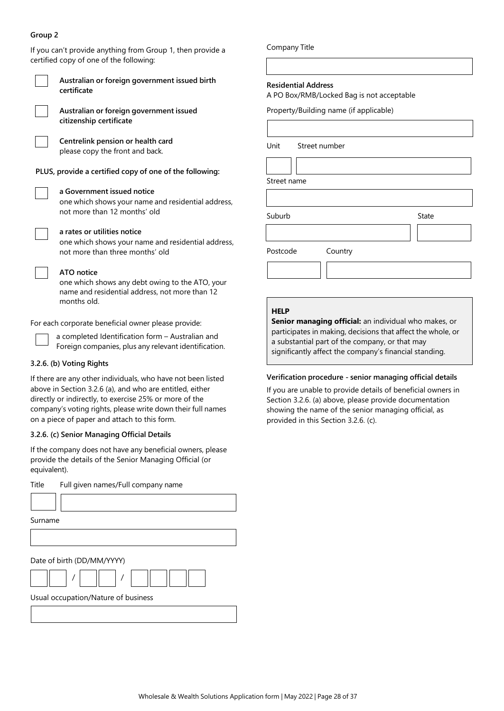# **Group 2**

If you can't provide anything from Group 1, then provide a certified copy of one of the following: **Australian or foreign government issued birth certificate Australian or foreign government issued citizenship certificate Centrelink pension or health card** please copy the front and back. **PLUS, provide a certified copy of one of the following: a Government issued notice** one which shows your name and residential address, not more than 12 months' old **a rates or utilities notice** one which shows your name and residential address, not more than three months' old **ATO notice** one which shows any debt owing to the ATO, your name and residential address, not more than 12 months old. For each corporate beneficial owner please provide: Postcode Country **HELP**

a completed Identification form – Australian and Foreign companies, plus any relevant identification.

# **3.2.6. (b) Voting Rights**

If there are any other individuals, who have not been listed above in Section 3.2.6 (a), and who are entitled, either directly or indirectly, to exercise 25% or more of the company's voting rights, please write down their full names on a piece of paper and attach to this form.

# **3.2.6. (c) Senior Managing Official Details**

If the company does not have any beneficial owners, please provide the details of the Senior Managing Official (or equivalent).

Title Full given names/Full company name Surname Date of birth (DD/MM/YYYY) / / Usual occupation/Nature of business

Company Title

### **Residential Address**

A PO Box/RMB/Locked Bag is not acceptable

Property/Building name (if applicable)

Unit Street number

Street name

Suburb State

**Senior managing official:** an individual who makes, or participates in making, decisions that affect the whole, or a substantial part of the company, or that may significantly affect the company's financial standing.

# **Verification procedure - senior managing official details**

If you are unable to provide details of beneficial owners in Section 3.2.6. (a) above, please provide documentation showing the name of the senior managing official, as provided in this Section 3.2.6. (c).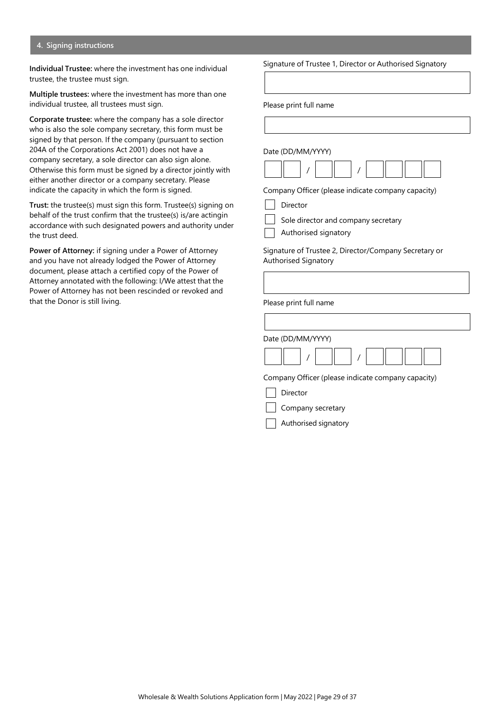### **4. Signing instructions**

**Individual Trustee:** where the investment has one individual trustee, the trustee must sign.

**Multiple trustees:** where the investment has more than one individual trustee, all trustees must sign.

**Corporate trustee:** where the company has a sole director who is also the sole company secretary, this form must be signed by that person. If the company (pursuant to section 204A of the Corporations Act 2001) does not have a company secretary, a sole director can also sign alone. Otherwise this form must be signed by a director jointly with either another director or a company secretary. Please indicate the capacity in which the form is signed.

**Trust:** the trustee(s) must sign this form. Trustee(s) signing on behalf of the trust confirm that the trustee(s) is/are actingin accordance with such designated powers and authority under the trust deed.

**Power of Attorney:** if signing under a Power of Attorney and you have not already lodged the Power of Attorney document, please attach a certified copy of the Power of Attorney annotated with the following: I/We attest that the Power of Attorney has not been rescinded or revoked and that the Donor is still living.

Signature of Trustee 1, Director or Authorised Signatory

Please print full name

Date (DD/MM/YYYY)

Company Officer (please indicate company capacity)

| Director |
|----------|
|----------|

Sole director and company secretary

Authorised signatory

Signature of Trustee 2, Director/Company Secretary or Authorised Signatory

Please print full name

Date (DD/MM/YYYY)



Company Officer (please indicate company capacity)

Director

Company secretary

Authorised signatory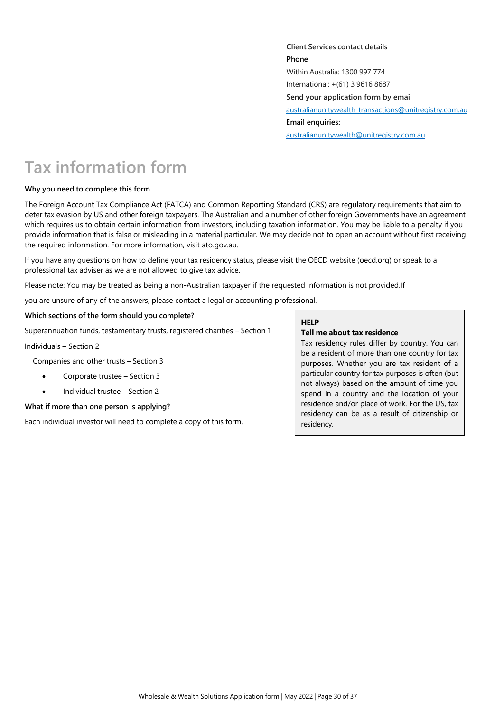**Client Services contact details Phone** Within Australia: 1300 997 774 International: +(61) 3 9616 8687 **Send your application form by email**  [australianunitywealth\\_transactions@unitregistry.com.au](mailto:australianunitywealth_transactions@unitregistry.com.au) **Email enquiries:**  [australianunitywealth@unitregistry.com.au](mailto:australianunitywealth@unitregistry.com.au)

# **Tax information form**

# **Why you need to complete this form**

The Foreign Account Tax Compliance Act (FATCA) and Common Reporting Standard (CRS) are regulatory requirements that aim to deter tax evasion by US and other foreign taxpayers. The Australian and a number of other foreign Governments have an agreement which requires us to obtain certain information from investors, including taxation information. You may be liable to a penalty if you provide information that is false or misleading in a material particular. We may decide not to open an account without first receiving the required information. For more information, visit ato.gov.au.

If you have any questions on how to define your tax residency status, please visit the OECD website (oecd.org) or speak to a professional tax adviser as we are not allowed to give tax advice.

Please note: You may be treated as being a non-Australian taxpayer if the requested information is not provided.If

you are unsure of any of the answers, please contact a legal or accounting professional.

#### **Which sections of the form should you complete?**

Superannuation funds, testamentary trusts, registered charities – Section 1

Individuals – Section 2

Companies and other trusts – Section 3

- Corporate trustee Section 3
- Individual trustee Section 2

#### **What if more than one person is applying?**

Each individual investor will need to complete a copy of this form.

# **HELP**

# **Tell me about tax residence**

Tax residency rules differ by country. You can be a resident of more than one country for tax purposes. Whether you are tax resident of a particular country for tax purposes is often (but not always) based on the amount of time you spend in a country and the location of your residence and/or place of work. For the US, tax residency can be as a result of citizenship or residency.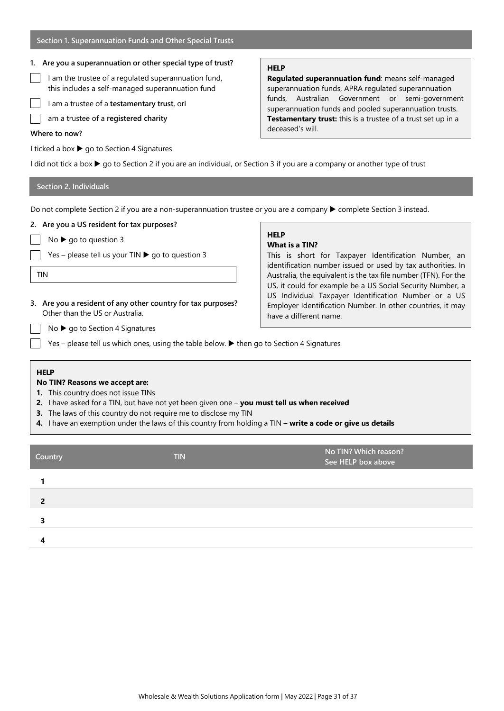# **1. Are you a superannuation or other special type of trust?**

- I am the trustee of a regulated superannuation fund, this includes a self-managed superannuation fund
- I am a trustee of a **testamentary trust**, orI
- am a trustee of a **registered charity**

### **Where to now?**

I ticked a box ▶ go to Section 4 Signatures

# **HELP**

**Regulated superannuation fund**: means self-managed superannuation funds, APRA regulated superannuation funds, Australian Government or semi-government superannuation funds and pooled superannuation trusts. **Testamentary trust:** this is a trustee of a trust set up in a deceased's will.

I did not tick a box  $\blacktriangleright$  go to Section 2 if you are an individual, or Section 3 if you are a company or another type of trust

# **Section 2. Individuals**

Do not complete Section 2 if you are a non-superannuation trustee or you are a company ▶ complete Section 3 instead.

# **2. Are you a US resident for tax purposes?** No  $\blacktriangleright$  go to question 3

Yes – please tell us your TIN  $\blacktriangleright$  go to question 3

**3. Are you a resident of any other country for tax purposes?**

TIN

# **HELP**

# **What is a TIN?**

This is short for Taxpayer Identification Number, an identification number issued or used by tax authorities. In Australia, the equivalent is the tax file number (TFN). For the US, it could for example be a US Social Security Number, a US Individual Taxpayer Identification Number or a US Employer Identification Number. In other countries, it may have a different name.

 $No \triangleright go$  to Section 4 Signatures

Other than the US or Australia.

Yes – please tell us which ones, using the table below.  $\blacktriangleright$  then go to Section 4 Signatures

# **HELP**

# **No TIN? Reasons we accept are:**

- **1.** This country does not issue TINs
- **2.** I have asked for a TIN, but have not yet been given one **you must tell us when received**
- **3.** The laws of this country do not require me to disclose my TIN
- **4.** I have an exemption under the laws of this country from holding a TIN **write a code or give us details**

| Country | <b>TIN</b> | No TIN? Which reason?<br>See HELP box above |
|---------|------------|---------------------------------------------|
|         |            |                                             |
|         |            |                                             |
|         |            |                                             |
|         |            |                                             |
|         |            |                                             |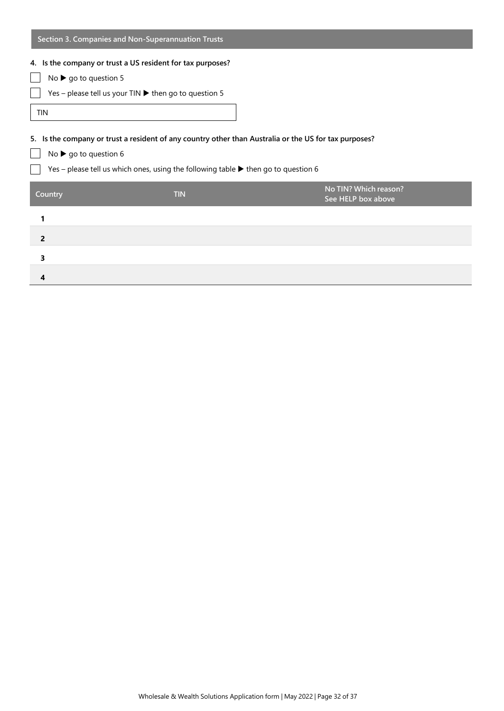| Section 3. Companies and Non-Superannuation Trusts                                                    |                                                                                                        |                                             |  |  |  |  |
|-------------------------------------------------------------------------------------------------------|--------------------------------------------------------------------------------------------------------|---------------------------------------------|--|--|--|--|
| 4. Is the company or trust a US resident for tax purposes?                                            |                                                                                                        |                                             |  |  |  |  |
| No $\triangleright$ go to question 5                                                                  |                                                                                                        |                                             |  |  |  |  |
|                                                                                                       | Yes - please tell us your TIN $\blacktriangleright$ then go to question 5                              |                                             |  |  |  |  |
| <b>TIN</b>                                                                                            |                                                                                                        |                                             |  |  |  |  |
| 5. Is the company or trust a resident of any country other than Australia or the US for tax purposes? |                                                                                                        |                                             |  |  |  |  |
| No $\triangleright$ go to question 6                                                                  |                                                                                                        |                                             |  |  |  |  |
|                                                                                                       | Yes – please tell us which ones, using the following table $\blacktriangleright$ then go to question 6 |                                             |  |  |  |  |
| Country                                                                                               | <b>TIN</b>                                                                                             | No TIN? Which reason?<br>See HELP box above |  |  |  |  |
|                                                                                                       |                                                                                                        |                                             |  |  |  |  |
| 2                                                                                                     |                                                                                                        |                                             |  |  |  |  |
| 3                                                                                                     |                                                                                                        |                                             |  |  |  |  |
| 4                                                                                                     |                                                                                                        |                                             |  |  |  |  |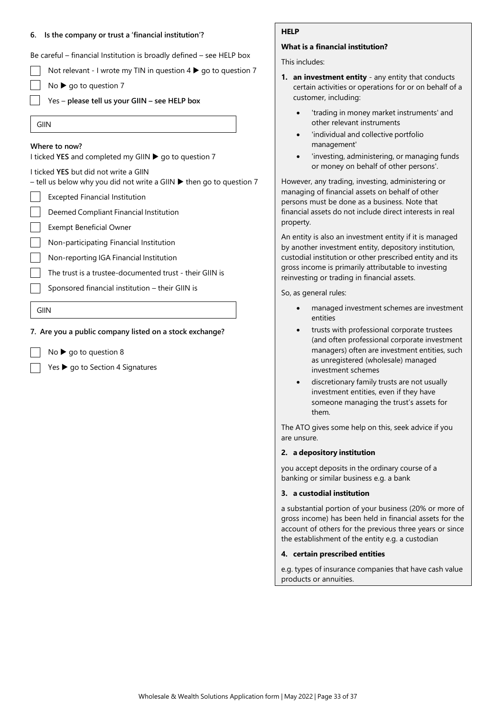### **6. Is the company or trust a 'financial institution'?**

Be careful – financial Institution is broadly defined – see HELP box

Not relevant - I wrote my TIN in question  $4 \triangleright$  go to question 7

- $No \triangleright go$  to question 7
- Yes **please tell us your GIIN – see HELP box**
- GIIN

### **Where to now?**

I ticked YES and completed my GIIN ▶ go to question 7

I ticked **YES** but did not write a GIIN

– tell us below why you did not write a GIIN  $\blacktriangleright$  then go to question 7

- Excepted Financial Institution
	- Deemed Compliant Financial Institution
- Exempt Beneficial Owner

Non-participating Financial Institution

- Non-reporting IGA Financial Institution
- The trust is a trustee-documented trust their GIIN is
- Sponsored financial institution their GIIN is

GIIN

# **7. Are you a public company listed on a stock exchange?**

- $No$   $\triangleright$  go to question 8
- $Yes$   $\rightarrow$  go to Section 4 Signatures

# **HELP**

# **What is a financial institution?**

This includes:

- **1. an investment entity**  any entity that conducts certain activities or operations for or on behalf of a customer, including:
	- 'trading in money market instruments' and other relevant instruments
	- 'individual and collective portfolio management'
	- 'investing, administering, or managing funds or money on behalf of other persons'.

However, any trading, investing, administering or managing of financial assets on behalf of other persons must be done as a business. Note that financial assets do not include direct interests in real property.

An entity is also an investment entity if it is managed by another investment entity, depository institution, custodial institution or other prescribed entity and its gross income is primarily attributable to investing reinvesting or trading in financial assets.

So, as general rules:

- managed investment schemes are investment entities
- trusts with professional corporate trustees (and often professional corporate investment managers) often are investment entities, such as unregistered (wholesale) managed investment schemes
- discretionary family trusts are not usually investment entities, even if they have someone managing the trust's assets for them.

The ATO gives some help on this, seek advice if you are unsure.

# **2. a depository institution**

you accept deposits in the ordinary course of a banking or similar business e.g. a bank

# **3. a custodial institution**

a substantial portion of your business (20% or more of gross income) has been held in financial assets for the account of others for the previous three years or since the establishment of the entity e.g. a custodian

#### **4. certain prescribed entities**

e.g. types of insurance companies that have cash value products or annuities.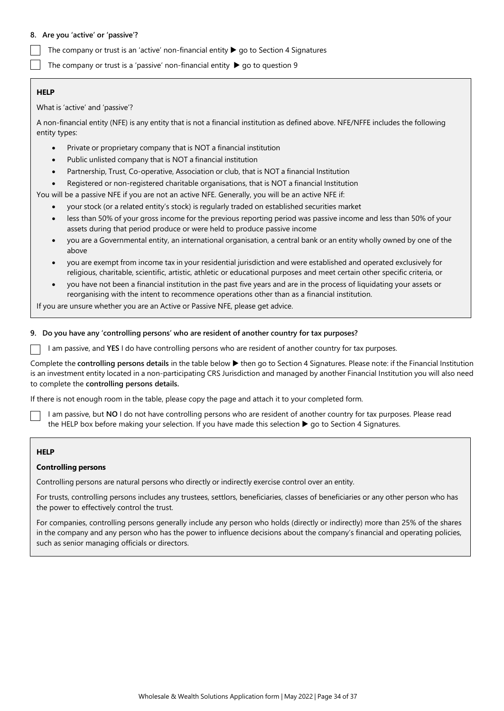# **8. Are you 'active' or 'passive'?**

The company or trust is an 'active' non-financial entity  $\blacktriangleright$  go to Section 4 Signatures

The company or trust is a 'passive' non-financial entity  $\blacktriangleright$  go to question 9

# **HELP**

What is 'active' and 'passive'?

A non-financial entity (NFE) is any entity that is not a financial institution as defined above. NFE/NFFE includes the following entity types:

- Private or proprietary company that is NOT a financial institution
- Public unlisted company that is NOT a financial institution
- Partnership, Trust, Co-operative, Association or club, that is NOT a financial Institution
- Registered or non-registered charitable organisations, that is NOT a financial Institution

You will be a passive NFE if you are not an active NFE. Generally, you will be an active NFE if:

- your stock (or a related entity's stock) is regularly traded on established securities market
- less than 50% of your gross income for the previous reporting period was passive income and less than 50% of your assets during that period produce or were held to produce passive income
- you are a Governmental entity, an international organisation, a central bank or an entity wholly owned by one of the above
- you are exempt from income tax in your residential jurisdiction and were established and operated exclusively for religious, charitable, scientific, artistic, athletic or educational purposes and meet certain other specific criteria, or
- you have not been a financial institution in the past five years and are in the process of liquidating your assets or reorganising with the intent to recommence operations other than as a financial institution.

If you are unsure whether you are an Active or Passive NFE, please get advice.

# **9. Do you have any 'controlling persons' who are resident of another country for tax purposes?**

I am passive, and **YES** I do have controlling persons who are resident of another country for tax purposes.

Complete the **controlling persons details** in the table below then go to Section 4 Signatures. Please note: if the Financial Institution is an investment entity located in a non-participating CRS Jurisdiction and managed by another Financial Institution you will also need to complete the **controlling persons details.**

If there is not enough room in the table, please copy the page and attach it to your completed form.

I am passive, but **NO** I do not have controlling persons who are resident of another country for tax purposes. Please read the HELP box before making your selection. If you have made this selection  $\blacktriangleright$  go to Section 4 Signatures.

# **HELP**

# **Controlling persons**

Controlling persons are natural persons who directly or indirectly exercise control over an entity.

For trusts, controlling persons includes any trustees, settlors, beneficiaries, classes of beneficiaries or any other person who has the power to effectively control the trust.

For companies, controlling persons generally include any person who holds (directly or indirectly) more than 25% of the shares in the company and any person who has the power to influence decisions about the company's financial and operating policies, such as senior managing officials or directors.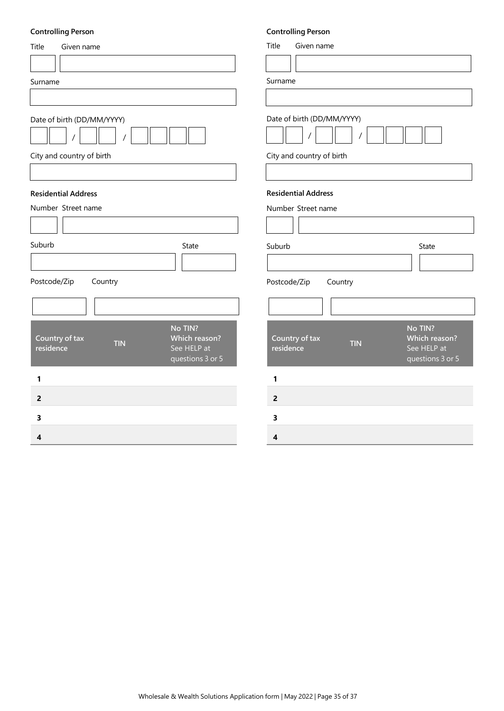# **Controlling Person**

| <b>Controlling Person</b>                                                                                | <b>Controlling Person</b>                                                                                |
|----------------------------------------------------------------------------------------------------------|----------------------------------------------------------------------------------------------------------|
| Title<br>Given name                                                                                      | Title<br>Given name                                                                                      |
|                                                                                                          |                                                                                                          |
| Surname                                                                                                  | Surname                                                                                                  |
|                                                                                                          |                                                                                                          |
| Date of birth (DD/MM/YYYY)                                                                               | Date of birth (DD/MM/YYYY)                                                                               |
| City and country of birth                                                                                | City and country of birth                                                                                |
|                                                                                                          |                                                                                                          |
| <b>Residential Address</b>                                                                               | <b>Residential Address</b>                                                                               |
| Number Street name                                                                                       | Number Street name                                                                                       |
|                                                                                                          |                                                                                                          |
| Suburb<br>State                                                                                          | Suburb<br>State                                                                                          |
|                                                                                                          |                                                                                                          |
| Postcode/Zip<br>Country                                                                                  | Postcode/Zip<br>Country                                                                                  |
|                                                                                                          |                                                                                                          |
| No TIN?<br>Country of tax<br>Which reason?<br><b>TIN</b><br>See HELP at<br>residence<br>questions 3 or 5 | No TIN?<br>Country of tax<br>Which reason?<br><b>TIN</b><br>See HELP at<br>residence<br>questions 3 or 5 |
| 1                                                                                                        | 1                                                                                                        |
| $\mathbf 2$                                                                                              | $\mathbf 2$                                                                                              |
| 3                                                                                                        | 3                                                                                                        |
| 4                                                                                                        | 4                                                                                                        |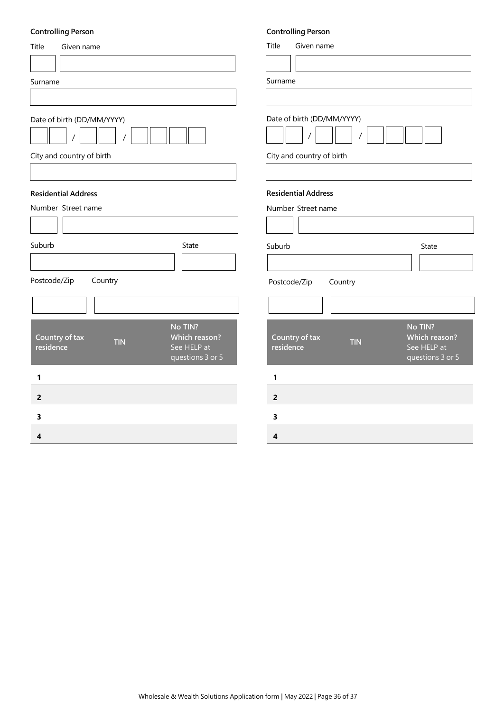# **Controlling Person**

| <b>Controlling Person</b>                                                                                       | <b>Controlling Person</b>                                                                                |
|-----------------------------------------------------------------------------------------------------------------|----------------------------------------------------------------------------------------------------------|
| Title<br>Given name                                                                                             | Title<br>Given name                                                                                      |
|                                                                                                                 |                                                                                                          |
| Surname                                                                                                         | Surname                                                                                                  |
|                                                                                                                 |                                                                                                          |
| Date of birth (DD/MM/YYYY)                                                                                      | Date of birth (DD/MM/YYYY)                                                                               |
| City and country of birth                                                                                       | City and country of birth                                                                                |
|                                                                                                                 |                                                                                                          |
| <b>Residential Address</b><br>Number Street name                                                                | <b>Residential Address</b><br>Number Street name                                                         |
|                                                                                                                 |                                                                                                          |
| Suburb<br>State                                                                                                 | Suburb<br>State                                                                                          |
|                                                                                                                 |                                                                                                          |
| Postcode/Zip<br>Country                                                                                         | Postcode/Zip<br>Country                                                                                  |
|                                                                                                                 |                                                                                                          |
| No TIN?<br>Country of tax<br><b>Which reason?</b><br><b>TIN</b><br>residence<br>See HELP at<br>questions 3 or 5 | No TIN?<br>Country of tax<br>Which reason?<br><b>TIN</b><br>residence<br>See HELP at<br>questions 3 or 5 |
| 1                                                                                                               | 1                                                                                                        |
| $\overline{2}$                                                                                                  | $\mathbf{2}$                                                                                             |
| 3                                                                                                               | 3                                                                                                        |
| 4                                                                                                               | $\overline{\mathbf{4}}$                                                                                  |